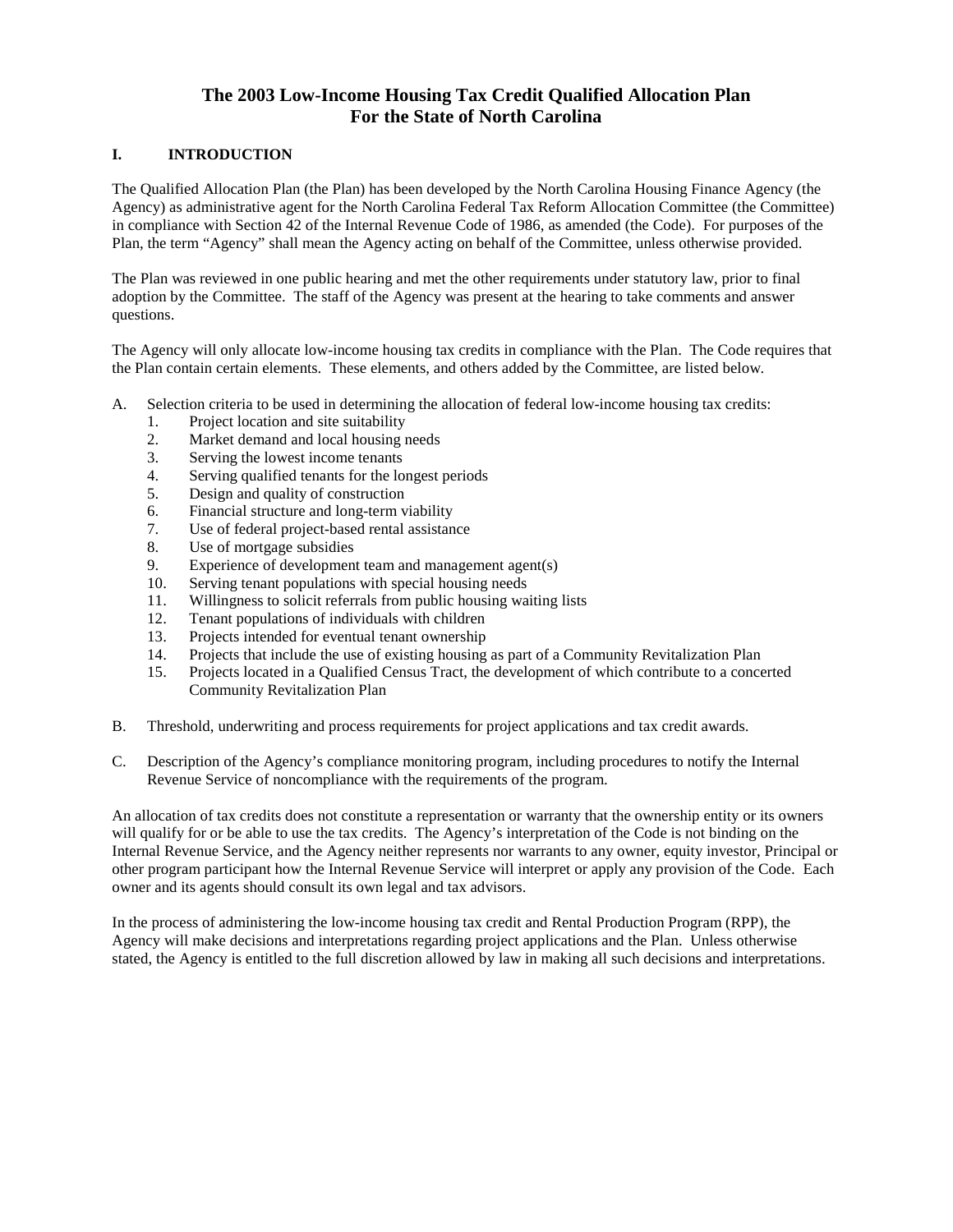# **The 2003 Low-Income Housing Tax Credit Qualified Allocation Plan For the State of North Carolina**

# **I. INTRODUCTION**

The Qualified Allocation Plan (the Plan) has been developed by the North Carolina Housing Finance Agency (the Agency) as administrative agent for the North Carolina Federal Tax Reform Allocation Committee (the Committee) in compliance with Section 42 of the Internal Revenue Code of 1986, as amended (the Code). For purposes of the Plan, the term "Agency" shall mean the Agency acting on behalf of the Committee, unless otherwise provided.

The Plan was reviewed in one public hearing and met the other requirements under statutory law, prior to final adoption by the Committee. The staff of the Agency was present at the hearing to take comments and answer questions.

The Agency will only allocate low-income housing tax credits in compliance with the Plan. The Code requires that the Plan contain certain elements. These elements, and others added by the Committee, are listed below.

- A. Selection criteria to be used in determining the allocation of federal low-income housing tax credits:
	- 1. Project location and site suitability
	- 2. Market demand and local housing needs
	- 3. Serving the lowest income tenants
	- 4. Serving qualified tenants for the longest periods
	- 5. Design and quality of construction
	- 6. Financial structure and long-term viability
	- 7. Use of federal project-based rental assistance
	- 8. Use of mortgage subsidies
	- 9. Experience of development team and management agent(s)
	- 10. Serving tenant populations with special housing needs
	- 11. Willingness to solicit referrals from public housing waiting lists
	- 12. Tenant populations of individuals with children
	- 13. Projects intended for eventual tenant ownership
	- 14. Projects that include the use of existing housing as part of a Community Revitalization Plan
	- 15. Projects located in a Qualified Census Tract, the development of which contribute to a concerted Community Revitalization Plan
- B. Threshold, underwriting and process requirements for project applications and tax credit awards.
- C. Description of the Agency's compliance monitoring program, including procedures to notify the Internal Revenue Service of noncompliance with the requirements of the program.

An allocation of tax credits does not constitute a representation or warranty that the ownership entity or its owners will qualify for or be able to use the tax credits. The Agency's interpretation of the Code is not binding on the Internal Revenue Service, and the Agency neither represents nor warrants to any owner, equity investor, Principal or other program participant how the Internal Revenue Service will interpret or apply any provision of the Code. Each owner and its agents should consult its own legal and tax advisors.

In the process of administering the low-income housing tax credit and Rental Production Program (RPP), the Agency will make decisions and interpretations regarding project applications and the Plan. Unless otherwise stated, the Agency is entitled to the full discretion allowed by law in making all such decisions and interpretations.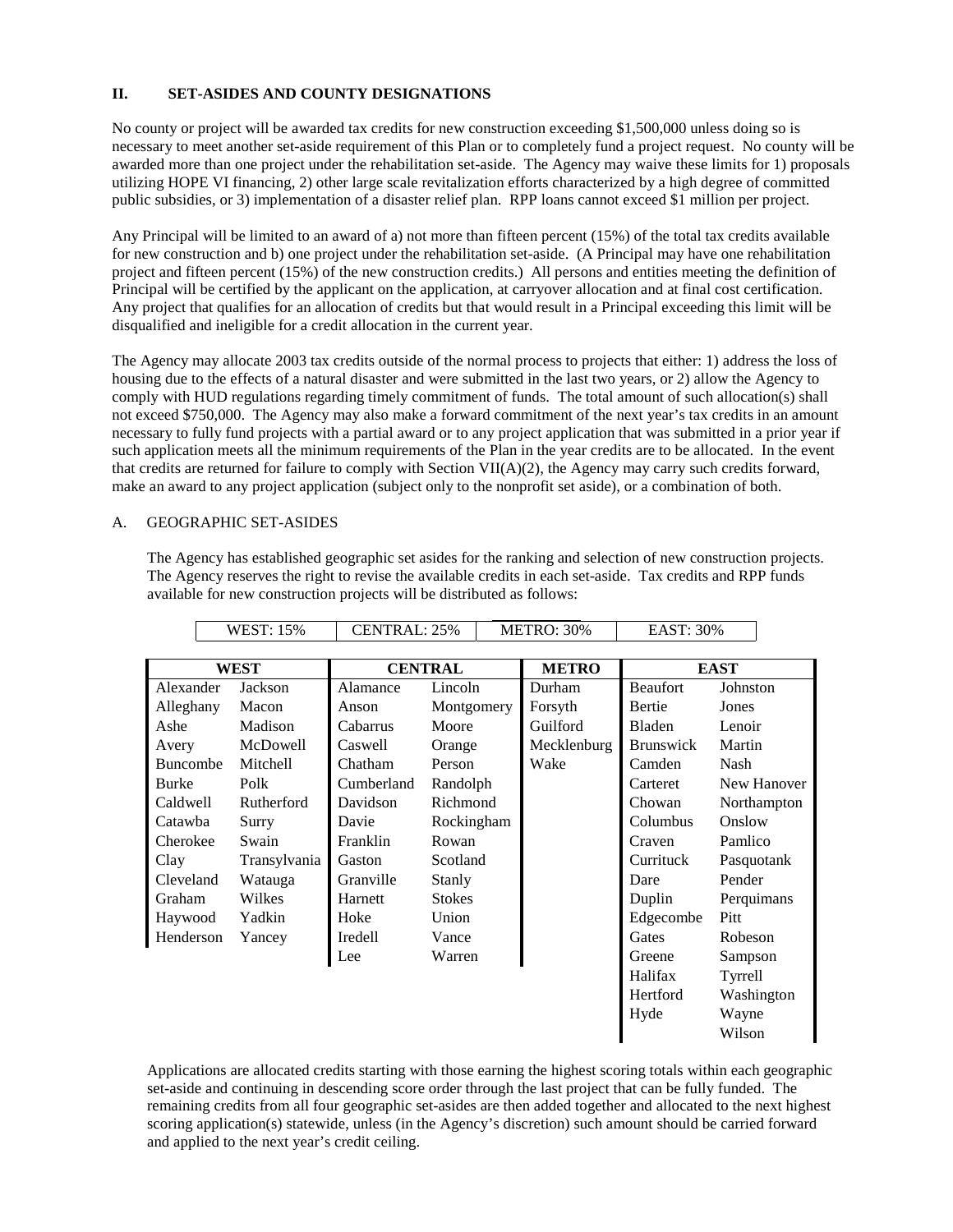# **II. SET-ASIDES AND COUNTY DESIGNATIONS**

No county or project will be awarded tax credits for new construction exceeding \$1,500,000 unless doing so is necessary to meet another set-aside requirement of this Plan or to completely fund a project request. No county will be awarded more than one project under the rehabilitation set-aside. The Agency may waive these limits for 1) proposals utilizing HOPE VI financing, 2) other large scale revitalization efforts characterized by a high degree of committed public subsidies, or 3) implementation of a disaster relief plan. RPP loans cannot exceed \$1 million per project.

Any Principal will be limited to an award of a) not more than fifteen percent (15%) of the total tax credits available for new construction and b) one project under the rehabilitation set-aside. (A Principal may have one rehabilitation project and fifteen percent (15%) of the new construction credits.) All persons and entities meeting the definition of Principal will be certified by the applicant on the application, at carryover allocation and at final cost certification. Any project that qualifies for an allocation of credits but that would result in a Principal exceeding this limit will be disqualified and ineligible for a credit allocation in the current year.

The Agency may allocate 2003 tax credits outside of the normal process to projects that either: 1) address the loss of housing due to the effects of a natural disaster and were submitted in the last two years, or 2) allow the Agency to comply with HUD regulations regarding timely commitment of funds. The total amount of such allocation(s) shall not exceed \$750,000. The Agency may also make a forward commitment of the next year's tax credits in an amount necessary to fully fund projects with a partial award or to any project application that was submitted in a prior year if such application meets all the minimum requirements of the Plan in the year credits are to be allocated. In the event that credits are returned for failure to comply with Section VII(A)(2), the Agency may carry such credits forward, make an award to any project application (subject only to the nonprofit set aside), or a combination of both.

### A. GEOGRAPHIC SET-ASIDES

The Agency has established geographic set asides for the ranking and selection of new construction projects. The Agency reserves the right to revise the available credits in each set-aside. Tax credits and RPP funds available for new construction projects will be distributed as follows:

┓

WEST:  $15\%$  CENTRAL:  $25\%$  METRO:  $30\%$  EAST:  $30\%$ 

|                        |                    |                |  |                                                                                          | __________       |             |
|------------------------|--------------------|----------------|--|------------------------------------------------------------------------------------------|------------------|-------------|
|                        |                    |                |  |                                                                                          |                  |             |
| <b>WEST</b>            |                    | <b>CENTRAL</b> |  | <b>METRO</b>                                                                             | <b>EAST</b>      |             |
| Alexander<br>Jackson   | Alamance           |                |  | Durham                                                                                   | <b>Beaufort</b>  | Johnston    |
| Alleghany<br>Macon     | Anson              |                |  | Forsyth                                                                                  | Bertie           | Jones       |
| Madison                | Cabarrus           | Moore          |  | Guilford                                                                                 | Bladen           | Lenoir      |
| McDowell               | Caswell            |                |  | Mecklenburg                                                                              | <b>Brunswick</b> | Martin      |
| Buncombe<br>Mitchell   | Chatham            | Person         |  | Wake                                                                                     | Camden           | Nash        |
| Polk                   | Cumberland         |                |  |                                                                                          | Carteret         | New Hanover |
| Caldwell<br>Rutherford | Davidson           |                |  |                                                                                          | Chowan           | Northampton |
| Catawba<br>Surry       | Davie              |                |  |                                                                                          | Columbus         | Onslow      |
| Cherokee<br>Swain      | Franklin           |                |  |                                                                                          | Craven           | Pamlico     |
|                        | Gaston             | Scotland       |  |                                                                                          | Currituck        | Pasquotank  |
| Cleveland<br>Watauga   | Granville          | Stanly         |  |                                                                                          | Dare             | Pender      |
| Wilkes<br>Graham       | Harnett            | <b>Stokes</b>  |  |                                                                                          | Duplin           | Perquimans  |
| Yadkin<br>Haywood      | Hoke               | Union          |  |                                                                                          | Edgecombe        | Pitt        |
| Henderson<br>Yancey    | Iredell            | Vance          |  |                                                                                          | Gates            | Robeson     |
|                        | Lee                |                |  |                                                                                          | Greene           | Sampson     |
|                        |                    |                |  |                                                                                          | Halifax          | Tyrrell     |
|                        |                    |                |  |                                                                                          | Hertford         | Washington  |
|                        |                    |                |  |                                                                                          | Hyde             | Wayne       |
|                        |                    |                |  |                                                                                          |                  | Wilson      |
|                        | ,, ,,, , , , , , , | Transylvania   |  | Lincoln<br>Montgomery<br>Orange<br>Randolph<br>Richmond<br>Rockingham<br>Rowan<br>Warren | .,,,,,,,,,,,,,,, |             |

Applications are allocated credits starting with those earning the highest scoring totals within each geographic set-aside and continuing in descending score order through the last project that can be fully funded. The remaining credits from all four geographic set-asides are then added together and allocated to the next highest scoring application(s) statewide, unless (in the Agency's discretion) such amount should be carried forward and applied to the next year's credit ceiling.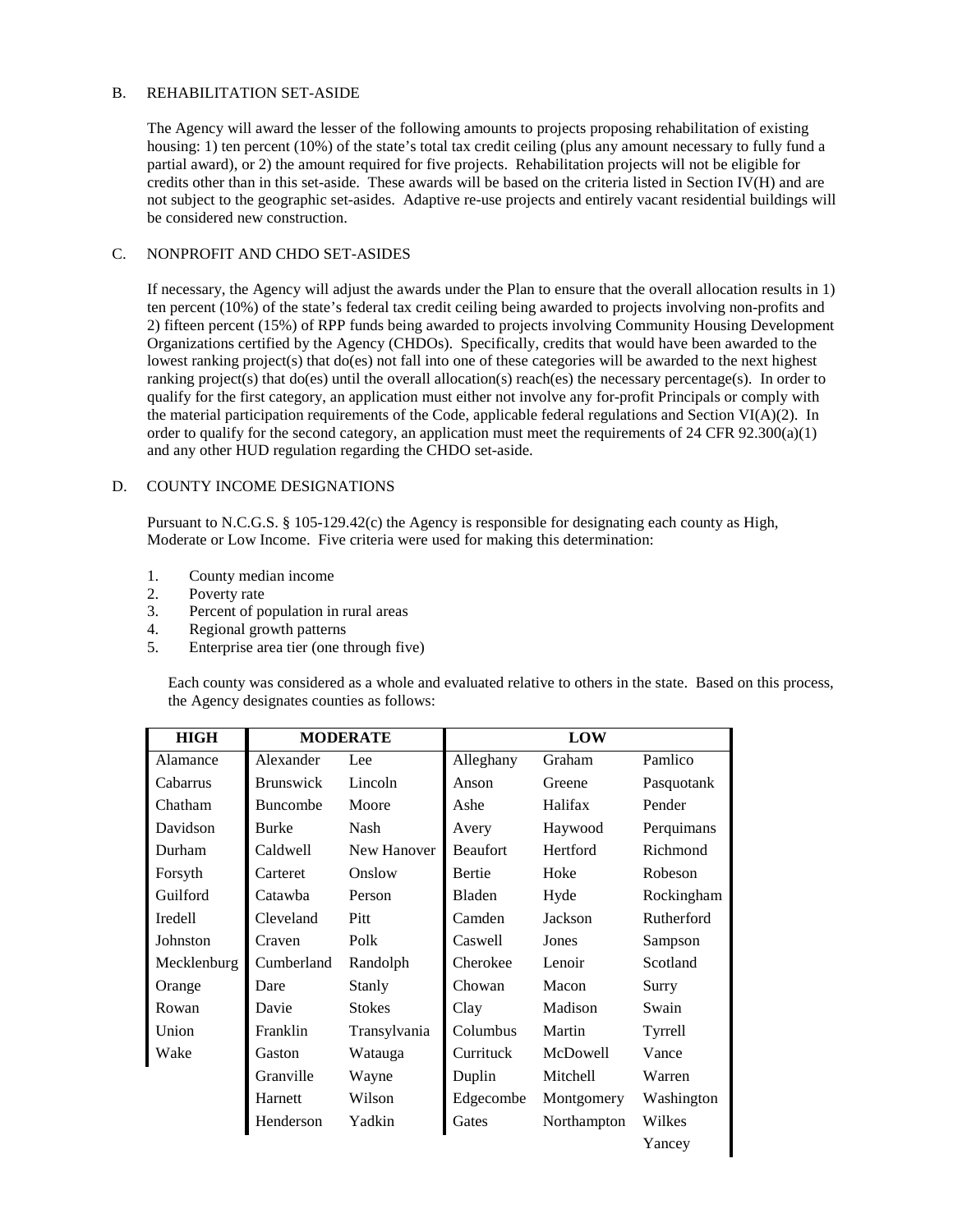## B. REHABILITATION SET-ASIDE

The Agency will award the lesser of the following amounts to projects proposing rehabilitation of existing housing: 1) ten percent (10%) of the state's total tax credit ceiling (plus any amount necessary to fully fund a partial award), or 2) the amount required for five projects. Rehabilitation projects will not be eligible for credits other than in this set-aside. These awards will be based on the criteria listed in Section IV(H) and are not subject to the geographic set-asides. Adaptive re-use projects and entirely vacant residential buildings will be considered new construction.

### C. NONPROFIT AND CHDO SET-ASIDES

If necessary, the Agency will adjust the awards under the Plan to ensure that the overall allocation results in 1) ten percent (10%) of the state's federal tax credit ceiling being awarded to projects involving non-profits and 2) fifteen percent (15%) of RPP funds being awarded to projects involving Community Housing Development Organizations certified by the Agency (CHDOs). Specifically, credits that would have been awarded to the lowest ranking project(s) that do(es) not fall into one of these categories will be awarded to the next highest ranking project(s) that do(es) until the overall allocation(s) reach(es) the necessary percentage(s). In order to qualify for the first category, an application must either not involve any for-profit Principals or comply with the material participation requirements of the Code, applicable federal regulations and Section VI( $A$ )(2). In order to qualify for the second category, an application must meet the requirements of  $24$  CFR  $92.300(a)(1)$ and any other HUD regulation regarding the CHDO set-aside.

### D. COUNTY INCOME DESIGNATIONS

Pursuant to N.C.G.S. § 105-129.42(c) the Agency is responsible for designating each county as High, Moderate or Low Income. Five criteria were used for making this determination:

- 1. County median income
- 2. Poverty rate
- 3. Percent of population in rural areas
- 4. Regional growth patterns
- 5. Enterprise area tier (one through five)

Each county was considered as a whole and evaluated relative to others in the state. Based on this process, the Agency designates counties as follows:

| <b>HIGH</b> | <b>MODERATE</b>  |               |                 |             |            |
|-------------|------------------|---------------|-----------------|-------------|------------|
| Alamance    | Alexander        | Lee           | Alleghany       | Graham      | Pamlico    |
| Cabarrus    | <b>Brunswick</b> | Lincoln       | Anson           | Greene      | Pasquotank |
| Chatham     | <b>Buncombe</b>  | Moore         | Ashe            | Halifax     | Pender     |
| Davidson    | <b>Burke</b>     | Nash          | Avery           | Haywood     | Perquimans |
| Durham      | Caldwell         | New Hanover   | <b>Beaufort</b> | Hertford    | Richmond   |
| Forsyth     | Carteret         | Onslow        | <b>Bertie</b>   | Hoke        | Robeson    |
| Guilford    | Catawba          | Person        | Bladen          | Hyde        | Rockingham |
| Iredell     | Cleveland        | Pitt          | Camden          | Jackson     | Rutherford |
| Johnston    | Craven           | Polk          | Caswell         | Jones       | Sampson    |
| Mecklenburg | Cumberland       | Randolph      | Cherokee        | Lenoir      | Scotland   |
| Orange      | Dare             | Stanly        | Chowan          | Macon       | Surry      |
| Rowan       | Davie            | <b>Stokes</b> | Clay            | Madison     | Swain      |
| Union       | Franklin         | Transylvania  | Columbus        | Martin      | Tyrrell    |
| Wake        | Gaston           | Watauga       | Currituck       | McDowell    | Vance      |
|             | Granville        | Wayne         | Duplin          | Mitchell    | Warren     |
|             | Harnett          | Wilson        | Edgecombe       | Montgomery  | Washington |
|             | Henderson        | Yadkin        | Gates           | Northampton | Wilkes     |
|             |                  |               |                 |             | Yancey     |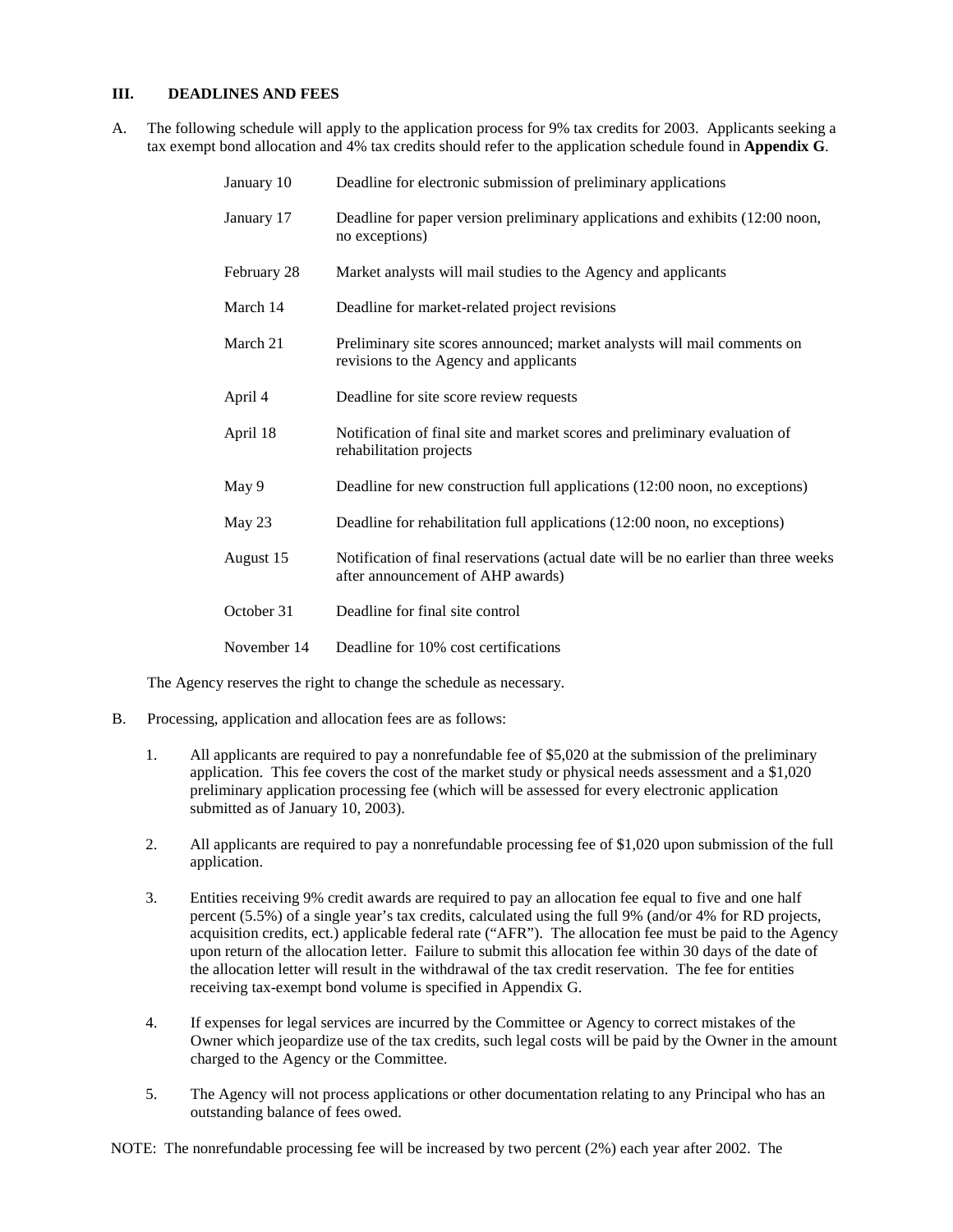# **III. DEADLINES AND FEES**

A. The following schedule will apply to the application process for 9% tax credits for 2003. Applicants seeking a tax exempt bond allocation and 4% tax credits should refer to the application schedule found in **Appendix G**.

| January 10  | Deadline for electronic submission of preliminary applications                                                           |
|-------------|--------------------------------------------------------------------------------------------------------------------------|
| January 17  | Deadline for paper version preliminary applications and exhibits (12:00 noon,<br>no exceptions)                          |
| February 28 | Market analysts will mail studies to the Agency and applicants                                                           |
| March 14    | Deadline for market-related project revisions                                                                            |
| March 21    | Preliminary site scores announced; market analysts will mail comments on<br>revisions to the Agency and applicants       |
| April 4     | Deadline for site score review requests                                                                                  |
| April 18    | Notification of final site and market scores and preliminary evaluation of<br>rehabilitation projects                    |
| May 9       | Deadline for new construction full applications (12:00 noon, no exceptions)                                              |
| May 23      | Deadline for rehabilitation full applications (12:00 noon, no exceptions)                                                |
| August 15   | Notification of final reservations (actual date will be no earlier than three weeks<br>after announcement of AHP awards) |
| October 31  | Deadline for final site control                                                                                          |
| November 14 | Deadline for 10% cost certifications                                                                                     |

The Agency reserves the right to change the schedule as necessary.

- B. Processing, application and allocation fees are as follows:
	- 1. All applicants are required to pay a nonrefundable fee of \$5,020 at the submission of the preliminary application. This fee covers the cost of the market study or physical needs assessment and a \$1,020 preliminary application processing fee (which will be assessed for every electronic application submitted as of January 10, 2003).
	- 2. All applicants are required to pay a nonrefundable processing fee of \$1,020 upon submission of the full application.
	- 3. Entities receiving 9% credit awards are required to pay an allocation fee equal to five and one half percent (5.5%) of a single year's tax credits, calculated using the full 9% (and/or 4% for RD projects, acquisition credits, ect.) applicable federal rate ("AFR"). The allocation fee must be paid to the Agency upon return of the allocation letter. Failure to submit this allocation fee within 30 days of the date of the allocation letter will result in the withdrawal of the tax credit reservation. The fee for entities receiving tax-exempt bond volume is specified in Appendix G.
	- 4. If expenses for legal services are incurred by the Committee or Agency to correct mistakes of the Owner which jeopardize use of the tax credits, such legal costs will be paid by the Owner in the amount charged to the Agency or the Committee.
	- 5. The Agency will not process applications or other documentation relating to any Principal who has an outstanding balance of fees owed.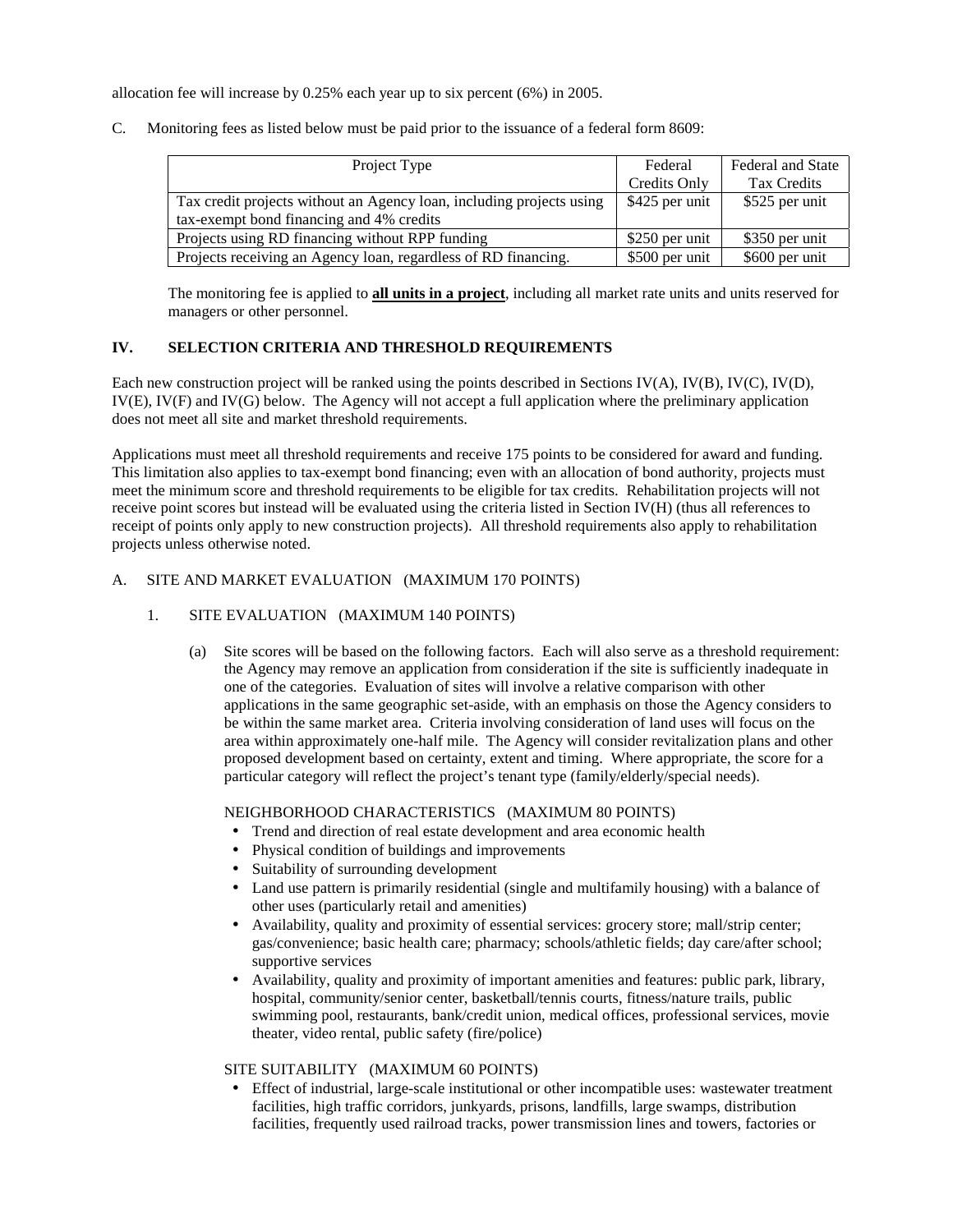allocation fee will increase by 0.25% each year up to six percent (6%) in 2005.

C. Monitoring fees as listed below must be paid prior to the issuance of a federal form 8609:

| Project Type                                                                                                     | Federal        | <b>Federal and State</b> |
|------------------------------------------------------------------------------------------------------------------|----------------|--------------------------|
|                                                                                                                  | Credits Only   | Tax Credits              |
| Tax credit projects without an Agency loan, including projects using<br>tax-exempt bond financing and 4% credits | \$425 per unit | \$525 per unit           |
| Projects using RD financing without RPP funding                                                                  | \$250 per unit | \$350 per unit           |
| Projects receiving an Agency loan, regardless of RD financing.                                                   | \$500 per unit | \$600 per unit           |

The monitoring fee is applied to **all units in a project**, including all market rate units and units reserved for managers or other personnel.

# **IV. SELECTION CRITERIA AND THRESHOLD REQUIREMENTS**

Each new construction project will be ranked using the points described in Sections IV(A), IV(B), IV(C), IV(D), IV(E), IV(F) and IV(G) below. The Agency will not accept a full application where the preliminary application does not meet all site and market threshold requirements.

Applications must meet all threshold requirements and receive 175 points to be considered for award and funding. This limitation also applies to tax-exempt bond financing; even with an allocation of bond authority, projects must meet the minimum score and threshold requirements to be eligible for tax credits. Rehabilitation projects will not receive point scores but instead will be evaluated using the criteria listed in Section IV(H) (thus all references to receipt of points only apply to new construction projects). All threshold requirements also apply to rehabilitation projects unless otherwise noted.

### A. SITE AND MARKET EVALUATION (MAXIMUM 170 POINTS)

- 1. SITE EVALUATION (MAXIMUM 140 POINTS)
	- (a) Site scores will be based on the following factors. Each will also serve as a threshold requirement: the Agency may remove an application from consideration if the site is sufficiently inadequate in one of the categories. Evaluation of sites will involve a relative comparison with other applications in the same geographic set-aside, with an emphasis on those the Agency considers to be within the same market area. Criteria involving consideration of land uses will focus on the area within approximately one-half mile. The Agency will consider revitalization plans and other proposed development based on certainty, extent and timing. Where appropriate, the score for a particular category will reflect the project's tenant type (family/elderly/special needs).

# NEIGHBORHOOD CHARACTERISTICS (MAXIMUM 80 POINTS)

- Trend and direction of real estate development and area economic health
- Physical condition of buildings and improvements
- Suitability of surrounding development
- Land use pattern is primarily residential (single and multifamily housing) with a balance of other uses (particularly retail and amenities)
- Availability, quality and proximity of essential services: grocery store; mall/strip center; gas/convenience; basic health care; pharmacy; schools/athletic fields; day care/after school; supportive services
- Availability, quality and proximity of important amenities and features: public park, library, hospital, community/senior center, basketball/tennis courts, fitness/nature trails, public swimming pool, restaurants, bank/credit union, medical offices, professional services, movie theater, video rental, public safety (fire/police)

# SITE SUITABILITY (MAXIMUM 60 POINTS)

• Effect of industrial, large-scale institutional or other incompatible uses: wastewater treatment facilities, high traffic corridors, junkyards, prisons, landfills, large swamps, distribution facilities, frequently used railroad tracks, power transmission lines and towers, factories or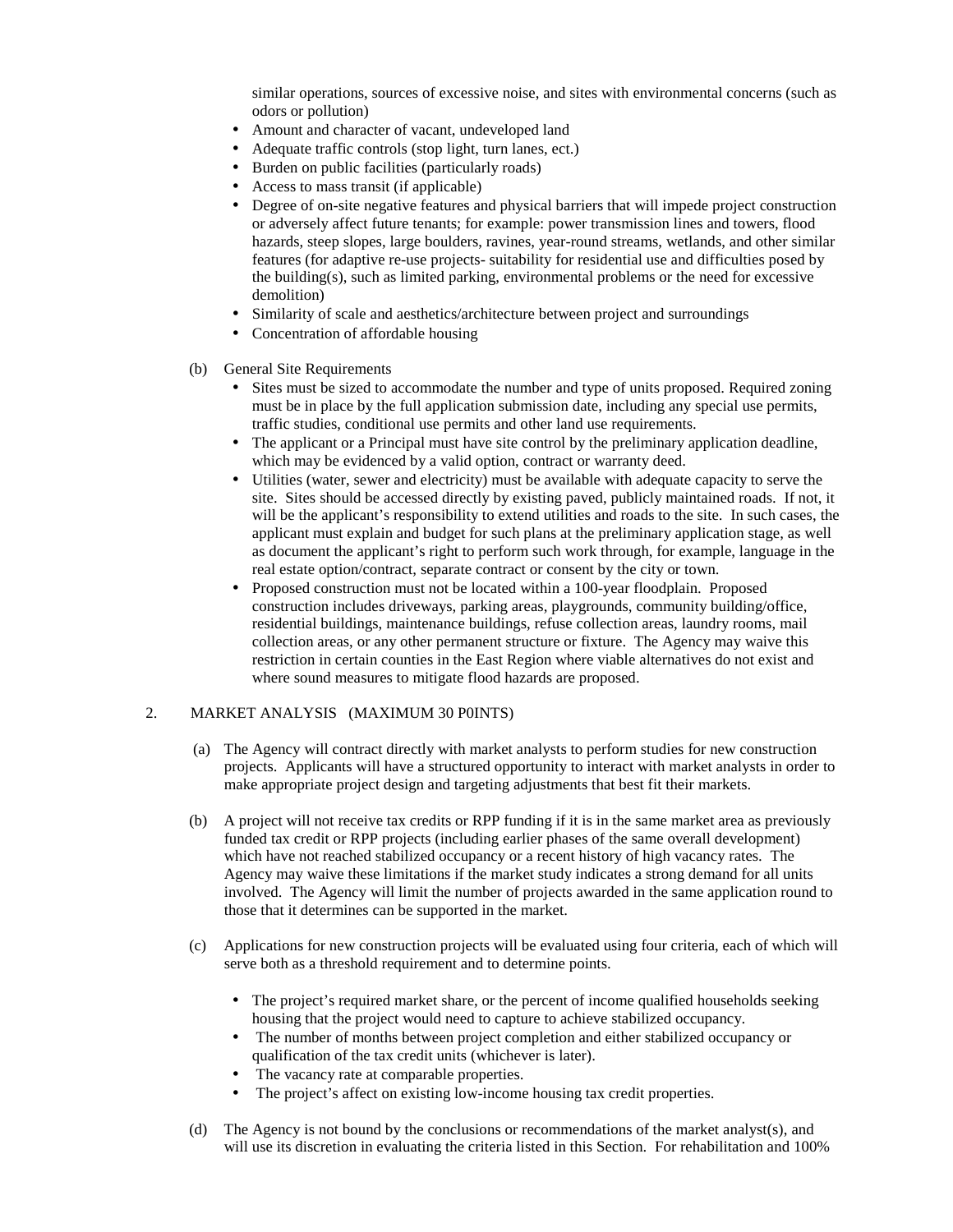similar operations, sources of excessive noise, and sites with environmental concerns (such as odors or pollution)

- Amount and character of vacant, undeveloped land
- Adequate traffic controls (stop light, turn lanes, ect.)
- Burden on public facilities (particularly roads)
- Access to mass transit (if applicable)
- Degree of on-site negative features and physical barriers that will impede project construction or adversely affect future tenants; for example: power transmission lines and towers, flood hazards, steep slopes, large boulders, ravines, year-round streams, wetlands, and other similar features (for adaptive re-use projects- suitability for residential use and difficulties posed by the building(s), such as limited parking, environmental problems or the need for excessive demolition)
- Similarity of scale and aesthetics/architecture between project and surroundings
- Concentration of affordable housing
- (b) General Site Requirements
	- Sites must be sized to accommodate the number and type of units proposed. Required zoning must be in place by the full application submission date, including any special use permits, traffic studies, conditional use permits and other land use requirements.
	- The applicant or a Principal must have site control by the preliminary application deadline, which may be evidenced by a valid option, contract or warranty deed.
	- Utilities (water, sewer and electricity) must be available with adequate capacity to serve the site. Sites should be accessed directly by existing paved, publicly maintained roads. If not, it will be the applicant's responsibility to extend utilities and roads to the site. In such cases, the applicant must explain and budget for such plans at the preliminary application stage, as well as document the applicant's right to perform such work through, for example, language in the real estate option/contract, separate contract or consent by the city or town.
	- Proposed construction must not be located within a 100-year floodplain. Proposed construction includes driveways, parking areas, playgrounds, community building/office, residential buildings, maintenance buildings, refuse collection areas, laundry rooms, mail collection areas, or any other permanent structure or fixture. The Agency may waive this restriction in certain counties in the East Region where viable alternatives do not exist and where sound measures to mitigate flood hazards are proposed.

#### 2. MARKET ANALYSIS (MAXIMUM 30 P0INTS)

- (a) The Agency will contract directly with market analysts to perform studies for new construction projects. Applicants will have a structured opportunity to interact with market analysts in order to make appropriate project design and targeting adjustments that best fit their markets.
- (b) A project will not receive tax credits or RPP funding if it is in the same market area as previously funded tax credit or RPP projects (including earlier phases of the same overall development) which have not reached stabilized occupancy or a recent history of high vacancy rates. The Agency may waive these limitations if the market study indicates a strong demand for all units involved. The Agency will limit the number of projects awarded in the same application round to those that it determines can be supported in the market.
- (c) Applications for new construction projects will be evaluated using four criteria, each of which will serve both as a threshold requirement and to determine points.
	- The project's required market share, or the percent of income qualified households seeking housing that the project would need to capture to achieve stabilized occupancy.
	- The number of months between project completion and either stabilized occupancy or qualification of the tax credit units (whichever is later).
	- The vacancy rate at comparable properties.
	- The project's affect on existing low-income housing tax credit properties.
- (d) The Agency is not bound by the conclusions or recommendations of the market analyst(s), and will use its discretion in evaluating the criteria listed in this Section. For rehabilitation and 100%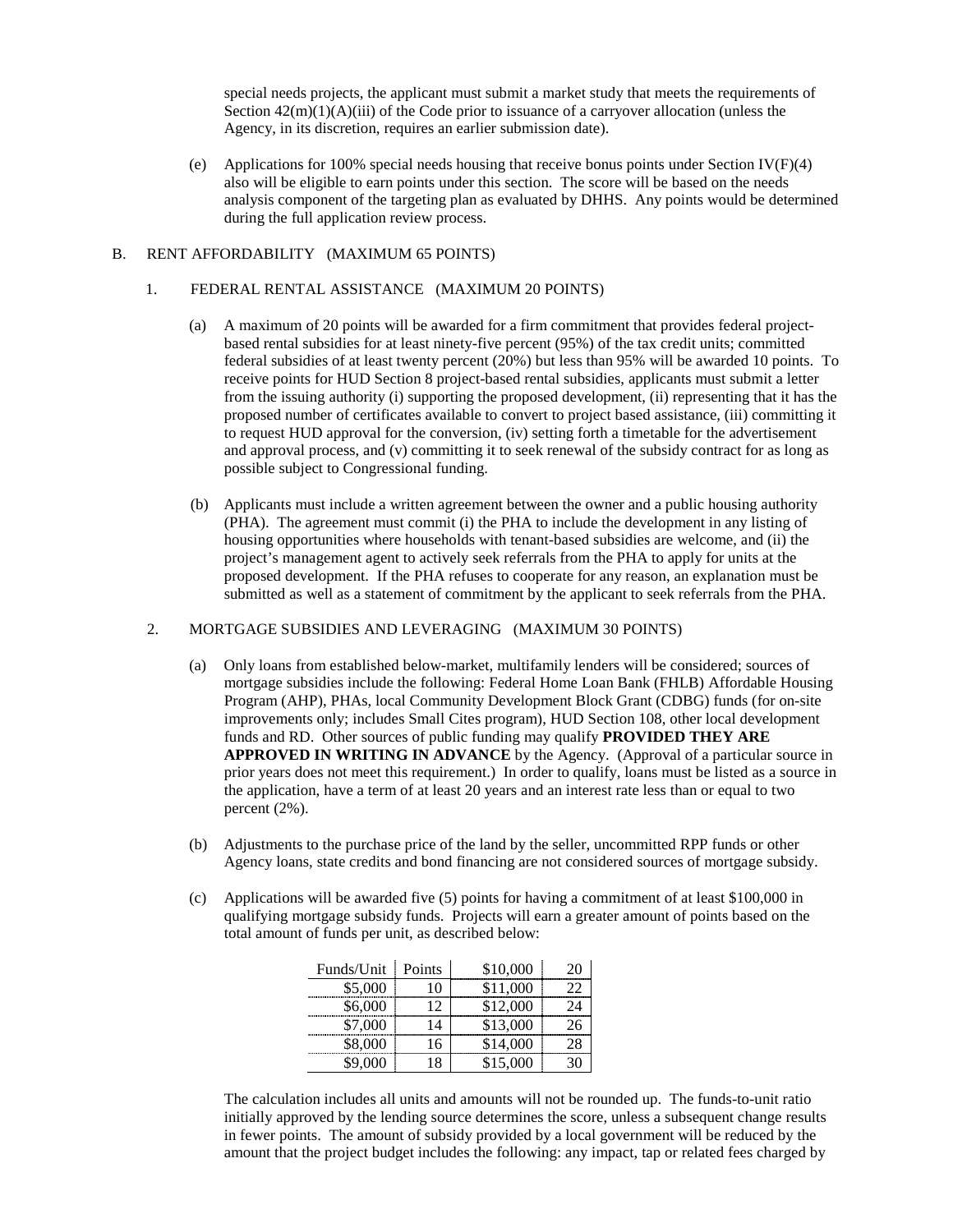special needs projects, the applicant must submit a market study that meets the requirements of Section  $42(m)(1)(A)(iii)$  of the Code prior to issuance of a carryover allocation (unless the Agency, in its discretion, requires an earlier submission date).

(e) Applications for 100% special needs housing that receive bonus points under Section IV(F)(4) also will be eligible to earn points under this section. The score will be based on the needs analysis component of the targeting plan as evaluated by DHHS. Any points would be determined during the full application review process.

#### B. RENT AFFORDABILITY (MAXIMUM 65 POINTS)

#### 1. FEDERAL RENTAL ASSISTANCE (MAXIMUM 20 POINTS)

- (a) A maximum of 20 points will be awarded for a firm commitment that provides federal projectbased rental subsidies for at least ninety-five percent (95%) of the tax credit units; committed federal subsidies of at least twenty percent (20%) but less than 95% will be awarded 10 points. To receive points for HUD Section 8 project-based rental subsidies, applicants must submit a letter from the issuing authority (i) supporting the proposed development, (ii) representing that it has the proposed number of certificates available to convert to project based assistance, (iii) committing it to request HUD approval for the conversion, (iv) setting forth a timetable for the advertisement and approval process, and (v) committing it to seek renewal of the subsidy contract for as long as possible subject to Congressional funding.
- (b) Applicants must include a written agreement between the owner and a public housing authority (PHA). The agreement must commit (i) the PHA to include the development in any listing of housing opportunities where households with tenant-based subsidies are welcome, and (ii) the project's management agent to actively seek referrals from the PHA to apply for units at the proposed development. If the PHA refuses to cooperate for any reason, an explanation must be submitted as well as a statement of commitment by the applicant to seek referrals from the PHA.

#### 2. MORTGAGE SUBSIDIES AND LEVERAGING (MAXIMUM 30 POINTS)

- (a) Only loans from established below-market, multifamily lenders will be considered; sources of mortgage subsidies include the following: Federal Home Loan Bank (FHLB) Affordable Housing Program (AHP), PHAs, local Community Development Block Grant (CDBG) funds (for on-site improvements only; includes Small Cites program), HUD Section 108, other local development funds and RD. Other sources of public funding may qualify **PROVIDED THEY ARE APPROVED IN WRITING IN ADVANCE** by the Agency. (Approval of a particular source in prior years does not meet this requirement.) In order to qualify, loans must be listed as a source in the application, have a term of at least 20 years and an interest rate less than or equal to two percent (2%).
- (b) Adjustments to the purchase price of the land by the seller, uncommitted RPP funds or other Agency loans, state credits and bond financing are not considered sources of mortgage subsidy.
- (c) Applications will be awarded five (5) points for having a commitment of at least \$100,000 in qualifying mortgage subsidy funds. Projects will earn a greater amount of points based on the total amount of funds per unit, as described below:

| Funds/Unit | Points | \$10,000 |  |
|------------|--------|----------|--|
| \$5,000    | IO     | \$11,000 |  |
| \$6,000    | 12     | \$12,000 |  |
| \$7,000    | 4      | \$13,000 |  |
| \$8,000    | 16     | \$14,000 |  |
|            |        | \$15,000 |  |

The calculation includes all units and amounts will not be rounded up. The funds-to-unit ratio initially approved by the lending source determines the score, unless a subsequent change results in fewer points. The amount of subsidy provided by a local government will be reduced by the amount that the project budget includes the following: any impact, tap or related fees charged by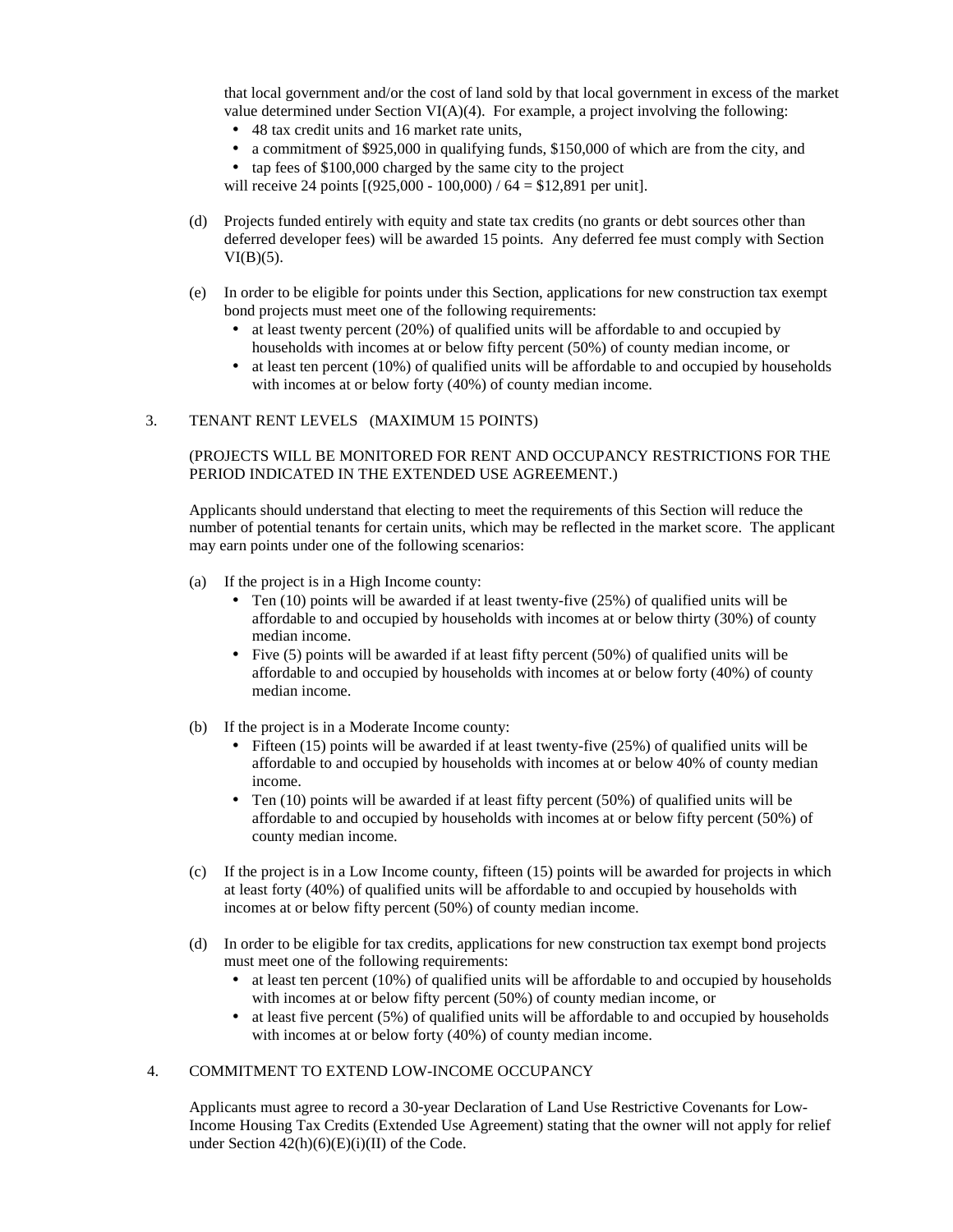that local government and/or the cost of land sold by that local government in excess of the market value determined under Section VI(A)(4). For example, a project involving the following:

- 48 tax credit units and 16 market rate units,
- a commitment of \$925,000 in qualifying funds, \$150,000 of which are from the city, and
- tap fees of \$100,000 charged by the same city to the project

will receive 24 points  $[(925,000 - 100,000) / 64 = $12,891$  per unit].

- (d) Projects funded entirely with equity and state tax credits (no grants or debt sources other than deferred developer fees) will be awarded 15 points. Any deferred fee must comply with Section  $VI(B)(5)$ .
- (e) In order to be eligible for points under this Section, applications for new construction tax exempt bond projects must meet one of the following requirements:
	- at least twenty percent (20%) of qualified units will be affordable to and occupied by households with incomes at or below fifty percent (50%) of county median income, or
	- at least ten percent (10%) of qualified units will be affordable to and occupied by households with incomes at or below forty (40%) of county median income.

### 3. TENANT RENT LEVELS (MAXIMUM 15 POINTS)

### (PROJECTS WILL BE MONITORED FOR RENT AND OCCUPANCY RESTRICTIONS FOR THE PERIOD INDICATED IN THE EXTENDED USE AGREEMENT.)

Applicants should understand that electing to meet the requirements of this Section will reduce the number of potential tenants for certain units, which may be reflected in the market score. The applicant may earn points under one of the following scenarios:

- (a) If the project is in a High Income county:
	- Ten  $(10)$  points will be awarded if at least twenty-five  $(25%)$  of qualified units will be affordable to and occupied by households with incomes at or below thirty (30%) of county median income.
	- Five (5) points will be awarded if at least fifty percent (50%) of qualified units will be affordable to and occupied by households with incomes at or below forty (40%) of county median income.
- (b) If the project is in a Moderate Income county:
	- Fifteen (15) points will be awarded if at least twenty-five (25%) of qualified units will be affordable to and occupied by households with incomes at or below 40% of county median income.
	- Ten  $(10)$  points will be awarded if at least fifty percent  $(50%)$  of qualified units will be affordable to and occupied by households with incomes at or below fifty percent (50%) of county median income.
- (c) If the project is in a Low Income county, fifteen (15) points will be awarded for projects in which at least forty (40%) of qualified units will be affordable to and occupied by households with incomes at or below fifty percent (50%) of county median income.
- (d) In order to be eligible for tax credits, applications for new construction tax exempt bond projects must meet one of the following requirements:
	- $\bullet$  at least ten percent (10%) of qualified units will be affordable to and occupied by households with incomes at or below fifty percent (50%) of county median income, or
	- at least five percent (5%) of qualified units will be affordable to and occupied by households with incomes at or below forty (40%) of county median income.

### 4. COMMITMENT TO EXTEND LOW-INCOME OCCUPANCY

Applicants must agree to record a 30-year Declaration of Land Use Restrictive Covenants for Low-Income Housing Tax Credits (Extended Use Agreement) stating that the owner will not apply for relief under Section  $42(h)(6)(E)(i)(II)$  of the Code.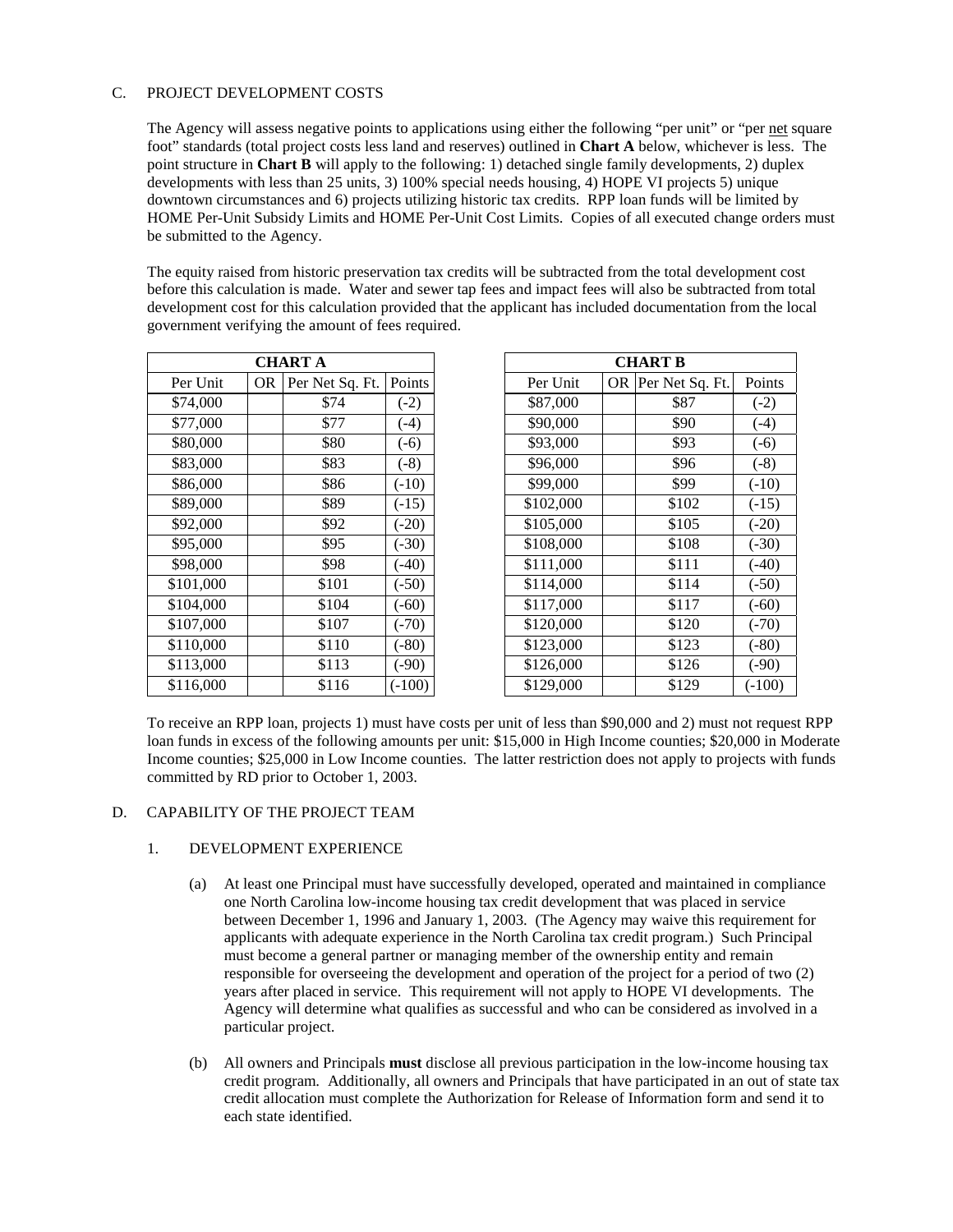# C. PROJECT DEVELOPMENT COSTS

The Agency will assess negative points to applications using either the following "per unit" or "per net square foot" standards (total project costs less land and reserves) outlined in **Chart A** below, whichever is less. The point structure in **Chart B** will apply to the following: 1) detached single family developments, 2) duplex developments with less than 25 units, 3) 100% special needs housing, 4) HOPE VI projects 5) unique downtown circumstances and 6) projects utilizing historic tax credits. RPP loan funds will be limited by HOME Per-Unit Subsidy Limits and HOME Per-Unit Cost Limits. Copies of all executed change orders must be submitted to the Agency.

The equity raised from historic preservation tax credits will be subtracted from the total development cost before this calculation is made. Water and sewer tap fees and impact fees will also be subtracted from total development cost for this calculation provided that the applicant has included documentation from the local government verifying the amount of fees required.

| CHART A   |    |                 |          |  |  |
|-----------|----|-----------------|----------|--|--|
| Per Unit  | OR | Per Net Sq. Ft. | Points   |  |  |
| \$74,000  |    | \$74            | $(-2)$   |  |  |
| \$77,000  |    | \$77            | $(-4)$   |  |  |
| \$80,000  |    | \$80            | $(-6)$   |  |  |
| \$83,000  |    | \$83            | $(-8)$   |  |  |
| \$86,000  |    | \$86            | $(-10)$  |  |  |
| \$89,000  |    | \$89            | $(-15)$  |  |  |
| \$92,000  |    | \$92            | $(-20)$  |  |  |
| \$95,000  |    | \$95            | $(-30)$  |  |  |
| \$98,000  |    | \$98            | $(-40)$  |  |  |
| \$101,000 |    | \$101           | $(-50)$  |  |  |
| \$104,000 |    | \$104           | $(-60)$  |  |  |
| \$107,000 |    | \$107           | $(-70)$  |  |  |
| \$110,000 |    | \$110           | $(-80)$  |  |  |
| \$113,000 |    | \$113           | $(-90)$  |  |  |
| \$116,000 |    | \$116           | $(-100)$ |  |  |

| <b>CHART A</b> |           |                 | <b>CHART B</b> |           |  |                    |         |
|----------------|-----------|-----------------|----------------|-----------|--|--------------------|---------|
| Per Unit       | <b>OR</b> | Per Net Sq. Ft. | Points         | Per Unit  |  | OR Per Net Sq. Ft. | Points  |
| \$74,000       |           | \$74            | $(-2)$         | \$87,000  |  | \$87               | $(-2)$  |
| \$77,000       |           | \$77            | $(-4)$         | \$90,000  |  | \$90               | $(-4)$  |
| \$80,000       |           | \$80            | $(-6)$         | \$93,000  |  | \$93               | $(-6)$  |
| \$83,000       |           | \$83            | $(-8)$         | \$96,000  |  | \$96               | $(-8)$  |
| \$86,000       |           | \$86            | $(-10)$        | \$99,000  |  | \$99               | $(-10)$ |
| \$89,000       |           | \$89            | $(-15)$        | \$102,000 |  | \$102              | $(-15)$ |
| \$92,000       |           | \$92            | $(-20)$        | \$105,000 |  | \$105              | $(-20)$ |
| \$95,000       |           | \$95            | $(-30)$        | \$108,000 |  | \$108              | $(-30)$ |
| \$98,000       |           | \$98            | $(-40)$        | \$111,000 |  | \$111              | $(-40)$ |
| \$101,000      |           | \$101           | $(-50)$        | \$114,000 |  | \$114              | $(-50)$ |
| \$104,000      |           | \$104           | $(-60)$        | \$117,000 |  | \$117              | $(-60)$ |
| \$107,000      |           | \$107           | $(-70)$        | \$120,000 |  | \$120              | $(-70)$ |
| \$110,000      |           | \$110           | (.80)          | \$123,000 |  | \$123              | $(-80)$ |
| \$113,000      |           | \$113           | $(-90)$        | \$126,000 |  | \$126              | $(-90)$ |
| \$116,000      |           | \$116           | $(-100)$       | \$129,000 |  | \$129              | (.100)  |

To receive an RPP loan, projects 1) must have costs per unit of less than \$90,000 and 2) must not request RPP loan funds in excess of the following amounts per unit: \$15,000 in High Income counties; \$20,000 in Moderate Income counties; \$25,000 in Low Income counties. The latter restriction does not apply to projects with funds committed by RD prior to October 1, 2003.

#### D. CAPABILITY OF THE PROJECT TEAM

#### 1. DEVELOPMENT EXPERIENCE

- (a) At least one Principal must have successfully developed, operated and maintained in compliance one North Carolina low-income housing tax credit development that was placed in service between December 1, 1996 and January 1, 2003. (The Agency may waive this requirement for applicants with adequate experience in the North Carolina tax credit program.) Such Principal must become a general partner or managing member of the ownership entity and remain responsible for overseeing the development and operation of the project for a period of two (2) years after placed in service. This requirement will not apply to HOPE VI developments. The Agency will determine what qualifies as successful and who can be considered as involved in a particular project.
- (b) All owners and Principals **must** disclose all previous participation in the low-income housing tax credit program. Additionally, all owners and Principals that have participated in an out of state tax credit allocation must complete the Authorization for Release of Information form and send it to each state identified.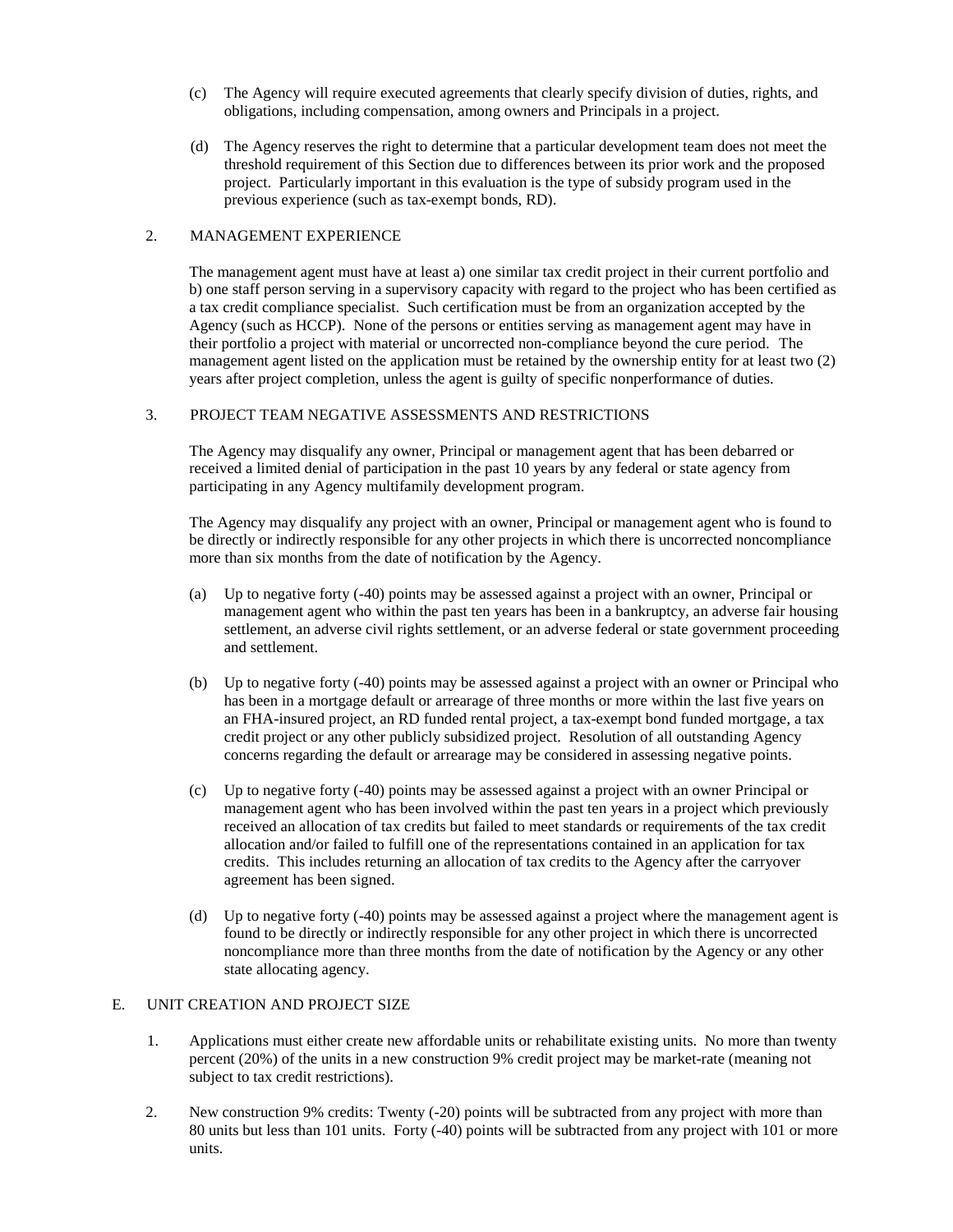- (c) The Agency will require executed agreements that clearly specify division of duties, rights, and obligations, including compensation, among owners and Principals in a project.
- (d) The Agency reserves the right to determine that a particular development team does not meet the threshold requirement of this Section due to differences between its prior work and the proposed project. Particularly important in this evaluation is the type of subsidy program used in the previous experience (such as tax-exempt bonds, RD).

### 2. MANAGEMENT EXPERIENCE

The management agent must have at least a) one similar tax credit project in their current portfolio and b) one staff person serving in a supervisory capacity with regard to the project who has been certified as a tax credit compliance specialist. Such certification must be from an organization accepted by the Agency (such as HCCP). None of the persons or entities serving as management agent may have in their portfolio a project with material or uncorrected non-compliance beyond the cure period. The management agent listed on the application must be retained by the ownership entity for at least two (2) years after project completion, unless the agent is guilty of specific nonperformance of duties.

### 3. PROJECT TEAM NEGATIVE ASSESSMENTS AND RESTRICTIONS

The Agency may disqualify any owner, Principal or management agent that has been debarred or received a limited denial of participation in the past 10 years by any federal or state agency from participating in any Agency multifamily development program.

The Agency may disqualify any project with an owner, Principal or management agent who is found to be directly or indirectly responsible for any other projects in which there is uncorrected noncompliance more than six months from the date of notification by the Agency.

- (a) Up to negative forty (-40) points may be assessed against a project with an owner, Principal or management agent who within the past ten years has been in a bankruptcy, an adverse fair housing settlement, an adverse civil rights settlement, or an adverse federal or state government proceeding and settlement.
- (b) Up to negative forty (-40) points may be assessed against a project with an owner or Principal who has been in a mortgage default or arrearage of three months or more within the last five years on an FHA-insured project, an RD funded rental project, a tax-exempt bond funded mortgage, a tax credit project or any other publicly subsidized project. Resolution of all outstanding Agency concerns regarding the default or arrearage may be considered in assessing negative points.
- (c) Up to negative forty (-40) points may be assessed against a project with an owner Principal or management agent who has been involved within the past ten years in a project which previously received an allocation of tax credits but failed to meet standards or requirements of the tax credit allocation and/or failed to fulfill one of the representations contained in an application for tax credits. This includes returning an allocation of tax credits to the Agency after the carryover agreement has been signed.
- (d) Up to negative forty (-40) points may be assessed against a project where the management agent is found to be directly or indirectly responsible for any other project in which there is uncorrected noncompliance more than three months from the date of notification by the Agency or any other state allocating agency.

#### E. UNIT CREATION AND PROJECT SIZE

- 1. Applications must either create new affordable units or rehabilitate existing units. No more than twenty percent (20%) of the units in a new construction 9% credit project may be market-rate (meaning not subject to tax credit restrictions).
- 2. New construction 9% credits: Twenty (-20) points will be subtracted from any project with more than 80 units but less than 101 units. Forty (-40) points will be subtracted from any project with 101 or more units.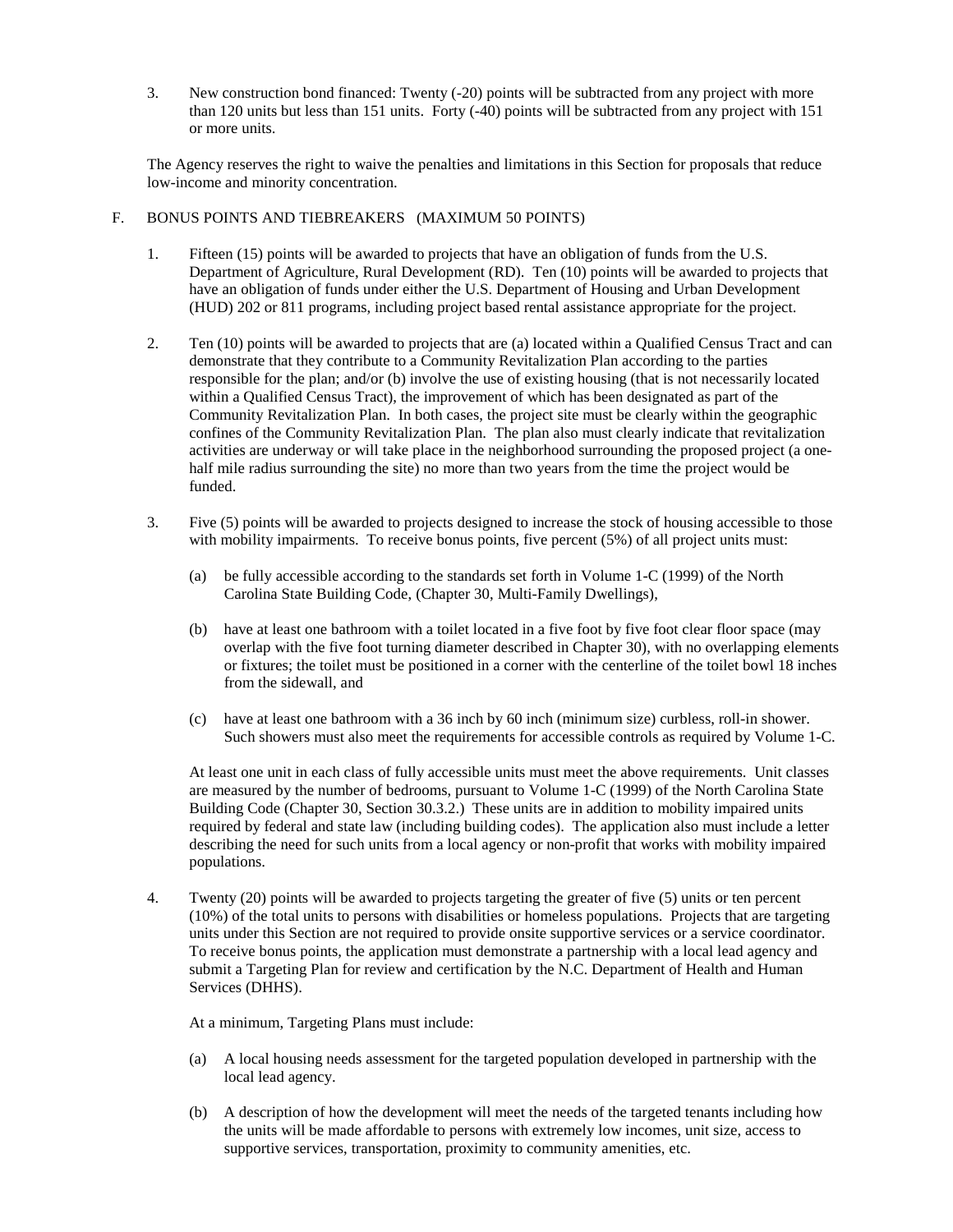3. New construction bond financed: Twenty (-20) points will be subtracted from any project with more than 120 units but less than 151 units. Forty (-40) points will be subtracted from any project with 151 or more units.

The Agency reserves the right to waive the penalties and limitations in this Section for proposals that reduce low-income and minority concentration.

### F. BONUS POINTS AND TIEBREAKERS (MAXIMUM 50 POINTS)

- 1. Fifteen (15) points will be awarded to projects that have an obligation of funds from the U.S. Department of Agriculture, Rural Development (RD). Ten (10) points will be awarded to projects that have an obligation of funds under either the U.S. Department of Housing and Urban Development (HUD) 202 or 811 programs, including project based rental assistance appropriate for the project.
- 2. Ten (10) points will be awarded to projects that are (a) located within a Qualified Census Tract and can demonstrate that they contribute to a Community Revitalization Plan according to the parties responsible for the plan; and/or (b) involve the use of existing housing (that is not necessarily located within a Qualified Census Tract), the improvement of which has been designated as part of the Community Revitalization Plan. In both cases, the project site must be clearly within the geographic confines of the Community Revitalization Plan. The plan also must clearly indicate that revitalization activities are underway or will take place in the neighborhood surrounding the proposed project (a onehalf mile radius surrounding the site) no more than two years from the time the project would be funded.
- 3. Five (5) points will be awarded to projects designed to increase the stock of housing accessible to those with mobility impairments. To receive bonus points, five percent (5%) of all project units must:
	- (a) be fully accessible according to the standards set forth in Volume 1-C (1999) of the North Carolina State Building Code, (Chapter 30, Multi-Family Dwellings),
	- (b) have at least one bathroom with a toilet located in a five foot by five foot clear floor space (may overlap with the five foot turning diameter described in Chapter 30), with no overlapping elements or fixtures; the toilet must be positioned in a corner with the centerline of the toilet bowl 18 inches from the sidewall, and
	- (c) have at least one bathroom with a 36 inch by 60 inch (minimum size) curbless, roll-in shower. Such showers must also meet the requirements for accessible controls as required by Volume 1-C.

At least one unit in each class of fully accessible units must meet the above requirements. Unit classes are measured by the number of bedrooms, pursuant to Volume 1-C (1999) of the North Carolina State Building Code (Chapter 30, Section 30.3.2.) These units are in addition to mobility impaired units required by federal and state law (including building codes). The application also must include a letter describing the need for such units from a local agency or non-profit that works with mobility impaired populations.

4. Twenty (20) points will be awarded to projects targeting the greater of five (5) units or ten percent (10%) of the total units to persons with disabilities or homeless populations. Projects that are targeting units under this Section are not required to provide onsite supportive services or a service coordinator. To receive bonus points, the application must demonstrate a partnership with a local lead agency and submit a Targeting Plan for review and certification by the N.C. Department of Health and Human Services (DHHS).

At a minimum, Targeting Plans must include:

- (a) A local housing needs assessment for the targeted population developed in partnership with the local lead agency.
- (b) A description of how the development will meet the needs of the targeted tenants including how the units will be made affordable to persons with extremely low incomes, unit size, access to supportive services, transportation, proximity to community amenities, etc.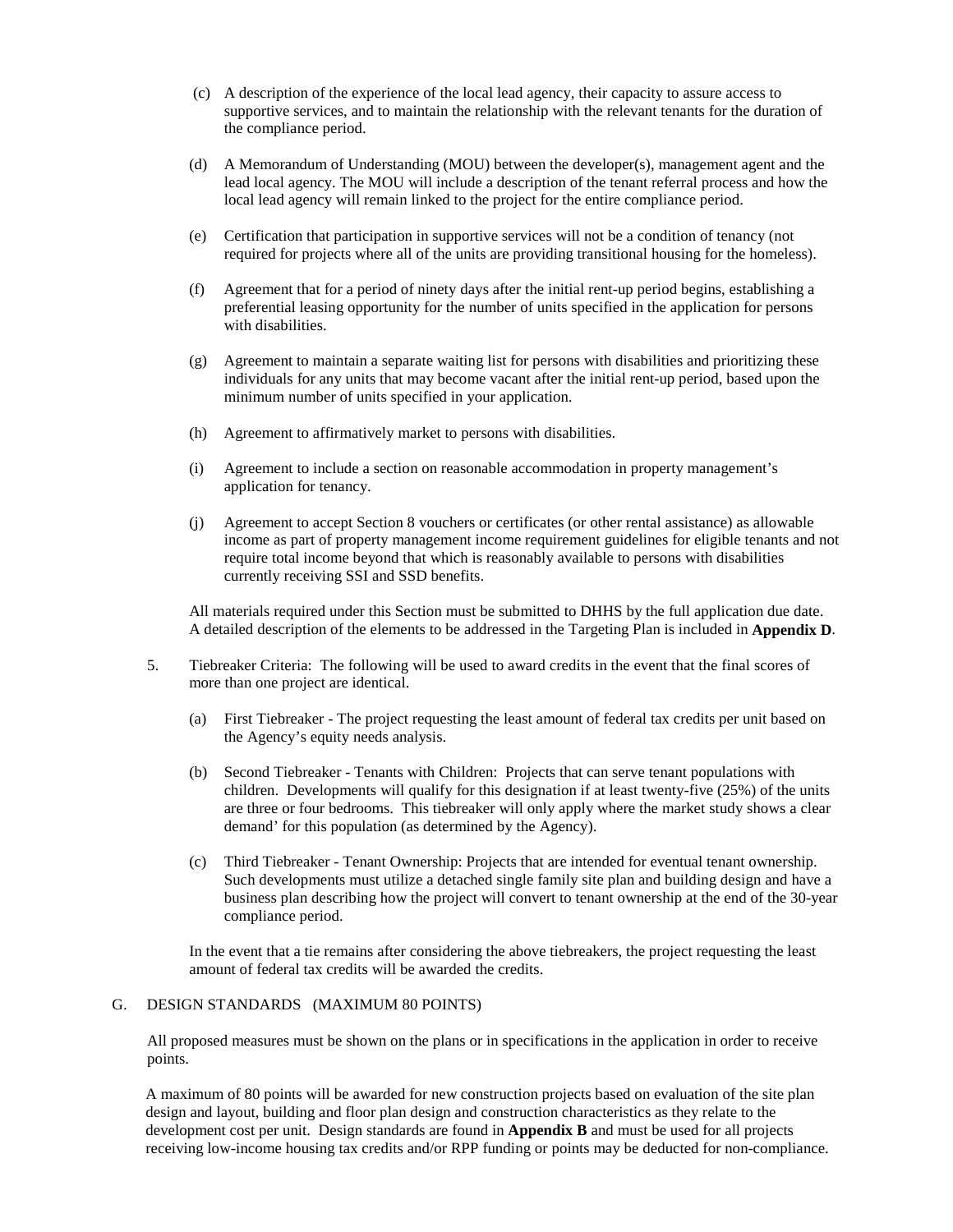- (c) A description of the experience of the local lead agency, their capacity to assure access to supportive services, and to maintain the relationship with the relevant tenants for the duration of the compliance period.
- (d) A Memorandum of Understanding (MOU) between the developer(s), management agent and the lead local agency. The MOU will include a description of the tenant referral process and how the local lead agency will remain linked to the project for the entire compliance period.
- (e) Certification that participation in supportive services will not be a condition of tenancy (not required for projects where all of the units are providing transitional housing for the homeless).
- (f) Agreement that for a period of ninety days after the initial rent-up period begins, establishing a preferential leasing opportunity for the number of units specified in the application for persons with disabilities.
- (g) Agreement to maintain a separate waiting list for persons with disabilities and prioritizing these individuals for any units that may become vacant after the initial rent-up period, based upon the minimum number of units specified in your application.
- (h) Agreement to affirmatively market to persons with disabilities.
- (i) Agreement to include a section on reasonable accommodation in property management's application for tenancy.
- (j) Agreement to accept Section 8 vouchers or certificates (or other rental assistance) as allowable income as part of property management income requirement guidelines for eligible tenants and not require total income beyond that which is reasonably available to persons with disabilities currently receiving SSI and SSD benefits.

All materials required under this Section must be submitted to DHHS by the full application due date. A detailed description of the elements to be addressed in the Targeting Plan is included in **Appendix D**.

- 5. Tiebreaker Criteria: The following will be used to award credits in the event that the final scores of more than one project are identical.
	- (a) First Tiebreaker The project requesting the least amount of federal tax credits per unit based on the Agency's equity needs analysis.
	- (b) Second Tiebreaker Tenants with Children: Projects that can serve tenant populations with children. Developments will qualify for this designation if at least twenty-five (25%) of the units are three or four bedrooms. This tiebreaker will only apply where the market study shows a clear demand' for this population (as determined by the Agency).
	- (c) Third Tiebreaker Tenant Ownership: Projects that are intended for eventual tenant ownership. Such developments must utilize a detached single family site plan and building design and have a business plan describing how the project will convert to tenant ownership at the end of the 30-year compliance period.

In the event that a tie remains after considering the above tiebreakers, the project requesting the least amount of federal tax credits will be awarded the credits.

### G. DESIGN STANDARDS (MAXIMUM 80 POINTS)

All proposed measures must be shown on the plans or in specifications in the application in order to receive points.

A maximum of 80 points will be awarded for new construction projects based on evaluation of the site plan design and layout, building and floor plan design and construction characteristics as they relate to the development cost per unit. Design standards are found in **Appendix B** and must be used for all projects receiving low-income housing tax credits and/or RPP funding or points may be deducted for non-compliance.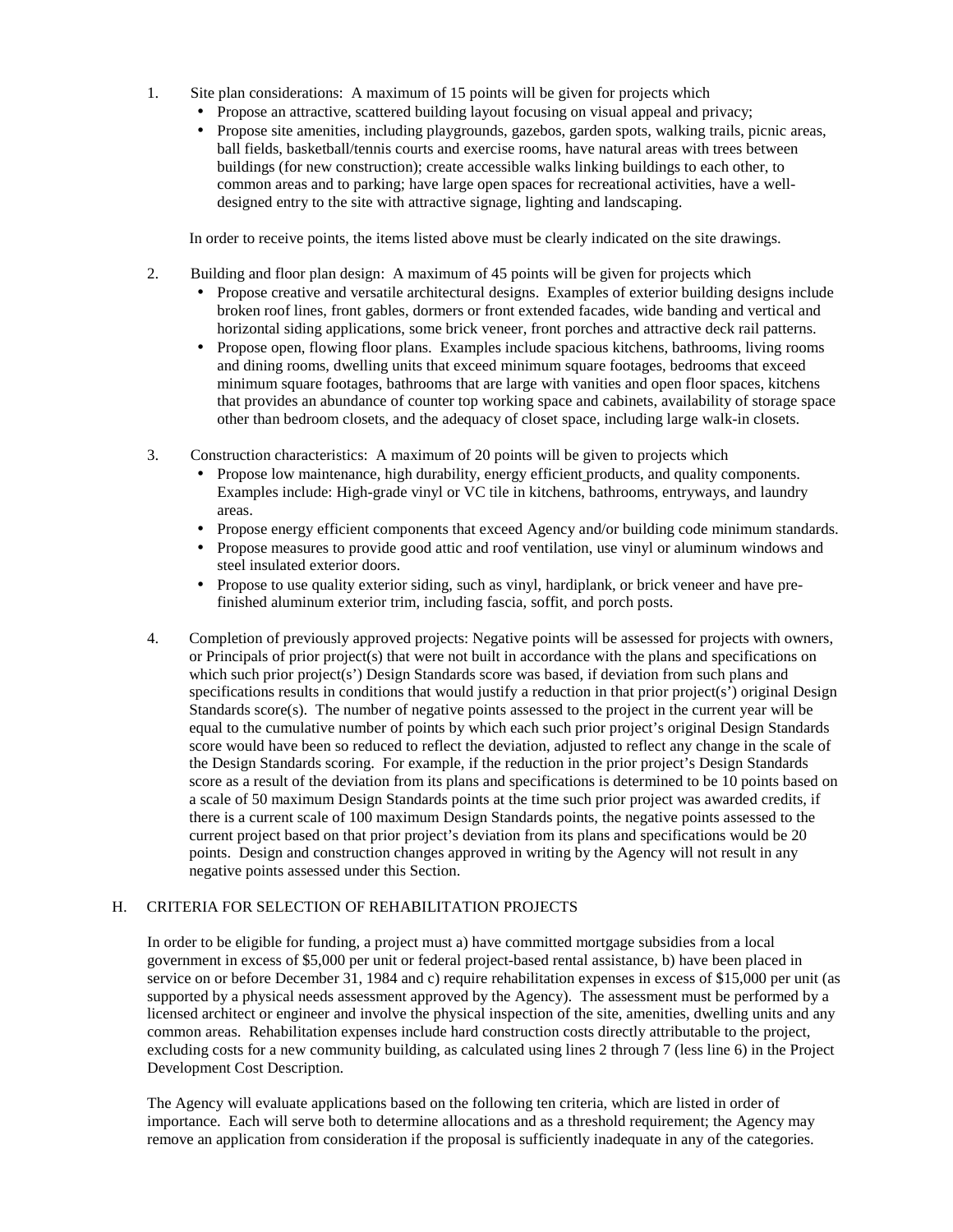- 1. Site plan considerations: A maximum of 15 points will be given for projects which
	- Propose an attractive, scattered building layout focusing on visual appeal and privacy;
	- Propose site amenities, including playgrounds, gazebos, garden spots, walking trails, picnic areas, ball fields, basketball/tennis courts and exercise rooms, have natural areas with trees between buildings (for new construction); create accessible walks linking buildings to each other, to common areas and to parking; have large open spaces for recreational activities, have a welldesigned entry to the site with attractive signage, lighting and landscaping.

In order to receive points, the items listed above must be clearly indicated on the site drawings.

- 2. Building and floor plan design: A maximum of 45 points will be given for projects which
	- Propose creative and versatile architectural designs. Examples of exterior building designs include broken roof lines, front gables, dormers or front extended facades, wide banding and vertical and horizontal siding applications, some brick veneer, front porches and attractive deck rail patterns.
	- Propose open, flowing floor plans. Examples include spacious kitchens, bathrooms, living rooms and dining rooms, dwelling units that exceed minimum square footages, bedrooms that exceed minimum square footages, bathrooms that are large with vanities and open floor spaces, kitchens that provides an abundance of counter top working space and cabinets, availability of storage space other than bedroom closets, and the adequacy of closet space, including large walk-in closets.
- 3. Construction characteristics: A maximum of 20 points will be given to projects which
	- Propose low maintenance, high durability, energy efficient products, and quality components. Examples include: High-grade vinyl or VC tile in kitchens, bathrooms, entryways, and laundry areas.
	- Propose energy efficient components that exceed Agency and/or building code minimum standards.
	- Propose measures to provide good attic and roof ventilation, use vinyl or aluminum windows and steel insulated exterior doors.
	- Propose to use quality exterior siding, such as vinyl, hardiplank, or brick veneer and have prefinished aluminum exterior trim, including fascia, soffit, and porch posts.
- 4. Completion of previously approved projects: Negative points will be assessed for projects with owners, or Principals of prior project(s) that were not built in accordance with the plans and specifications on which such prior project(s') Design Standards score was based, if deviation from such plans and specifications results in conditions that would justify a reduction in that prior project(s') original Design Standards score $(s)$ . The number of negative points assessed to the project in the current year will be equal to the cumulative number of points by which each such prior project's original Design Standards score would have been so reduced to reflect the deviation, adjusted to reflect any change in the scale of the Design Standards scoring. For example, if the reduction in the prior project's Design Standards score as a result of the deviation from its plans and specifications is determined to be 10 points based on a scale of 50 maximum Design Standards points at the time such prior project was awarded credits, if there is a current scale of 100 maximum Design Standards points, the negative points assessed to the current project based on that prior project's deviation from its plans and specifications would be 20 points. Design and construction changes approved in writing by the Agency will not result in any negative points assessed under this Section.

# H. CRITERIA FOR SELECTION OF REHABILITATION PROJECTS

In order to be eligible for funding, a project must a) have committed mortgage subsidies from a local government in excess of \$5,000 per unit or federal project-based rental assistance, b) have been placed in service on or before December 31, 1984 and c) require rehabilitation expenses in excess of \$15,000 per unit (as supported by a physical needs assessment approved by the Agency). The assessment must be performed by a licensed architect or engineer and involve the physical inspection of the site, amenities, dwelling units and any common areas. Rehabilitation expenses include hard construction costs directly attributable to the project, excluding costs for a new community building, as calculated using lines 2 through 7 (less line 6) in the Project Development Cost Description.

The Agency will evaluate applications based on the following ten criteria, which are listed in order of importance. Each will serve both to determine allocations and as a threshold requirement; the Agency may remove an application from consideration if the proposal is sufficiently inadequate in any of the categories.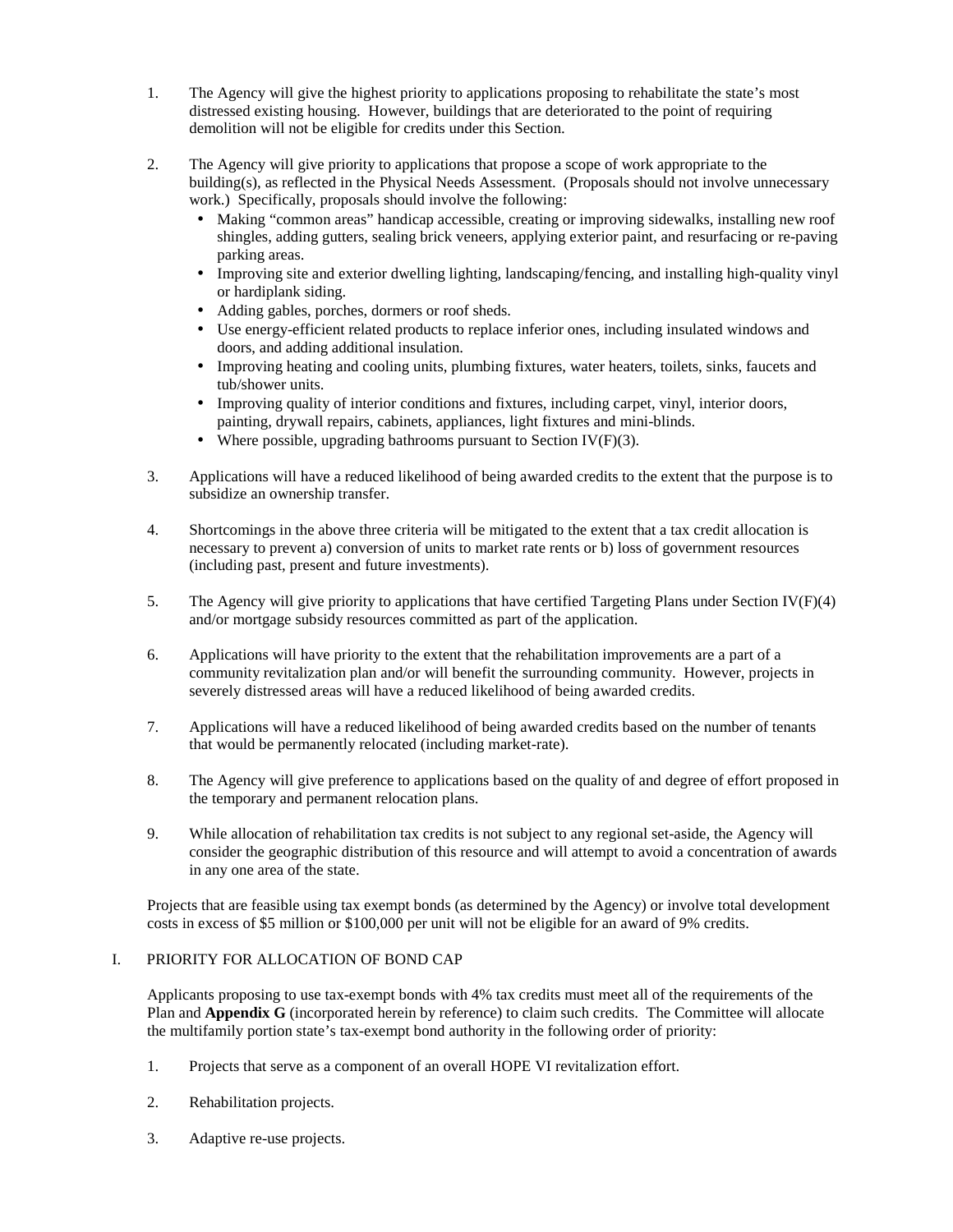- 1. The Agency will give the highest priority to applications proposing to rehabilitate the state's most distressed existing housing. However, buildings that are deteriorated to the point of requiring demolition will not be eligible for credits under this Section.
- 2. The Agency will give priority to applications that propose a scope of work appropriate to the building(s), as reflected in the Physical Needs Assessment. (Proposals should not involve unnecessary work.) Specifically, proposals should involve the following:
	- Making "common areas" handicap accessible, creating or improving sidewalks, installing new roof shingles, adding gutters, sealing brick veneers, applying exterior paint, and resurfacing or re-paving parking areas.
	- Improving site and exterior dwelling lighting, landscaping/fencing, and installing high-quality vinyl or hardiplank siding.
	- Adding gables, porches, dormers or roof sheds.
	- Use energy-efficient related products to replace inferior ones, including insulated windows and doors, and adding additional insulation.
	- Improving heating and cooling units, plumbing fixtures, water heaters, toilets, sinks, faucets and tub/shower units.
	- Improving quality of interior conditions and fixtures, including carpet, vinyl, interior doors, painting, drywall repairs, cabinets, appliances, light fixtures and mini-blinds.
	- Where possible, upgrading bathrooms pursuant to Section IV( $F$ )(3).
- 3. Applications will have a reduced likelihood of being awarded credits to the extent that the purpose is to subsidize an ownership transfer.
- 4. Shortcomings in the above three criteria will be mitigated to the extent that a tax credit allocation is necessary to prevent a) conversion of units to market rate rents or b) loss of government resources (including past, present and future investments).
- 5. The Agency will give priority to applications that have certified Targeting Plans under Section IV(F)(4) and/or mortgage subsidy resources committed as part of the application.
- 6. Applications will have priority to the extent that the rehabilitation improvements are a part of a community revitalization plan and/or will benefit the surrounding community. However, projects in severely distressed areas will have a reduced likelihood of being awarded credits.
- 7. Applications will have a reduced likelihood of being awarded credits based on the number of tenants that would be permanently relocated (including market-rate).
- 8. The Agency will give preference to applications based on the quality of and degree of effort proposed in the temporary and permanent relocation plans.
- 9. While allocation of rehabilitation tax credits is not subject to any regional set-aside, the Agency will consider the geographic distribution of this resource and will attempt to avoid a concentration of awards in any one area of the state.

Projects that are feasible using tax exempt bonds (as determined by the Agency) or involve total development costs in excess of \$5 million or \$100,000 per unit will not be eligible for an award of 9% credits.

# I. PRIORITY FOR ALLOCATION OF BOND CAP

Applicants proposing to use tax-exempt bonds with 4% tax credits must meet all of the requirements of the Plan and **Appendix G** (incorporated herein by reference) to claim such credits. The Committee will allocate the multifamily portion state's tax-exempt bond authority in the following order of priority:

- 1. Projects that serve as a component of an overall HOPE VI revitalization effort.
- 2. Rehabilitation projects.
- 3. Adaptive re-use projects.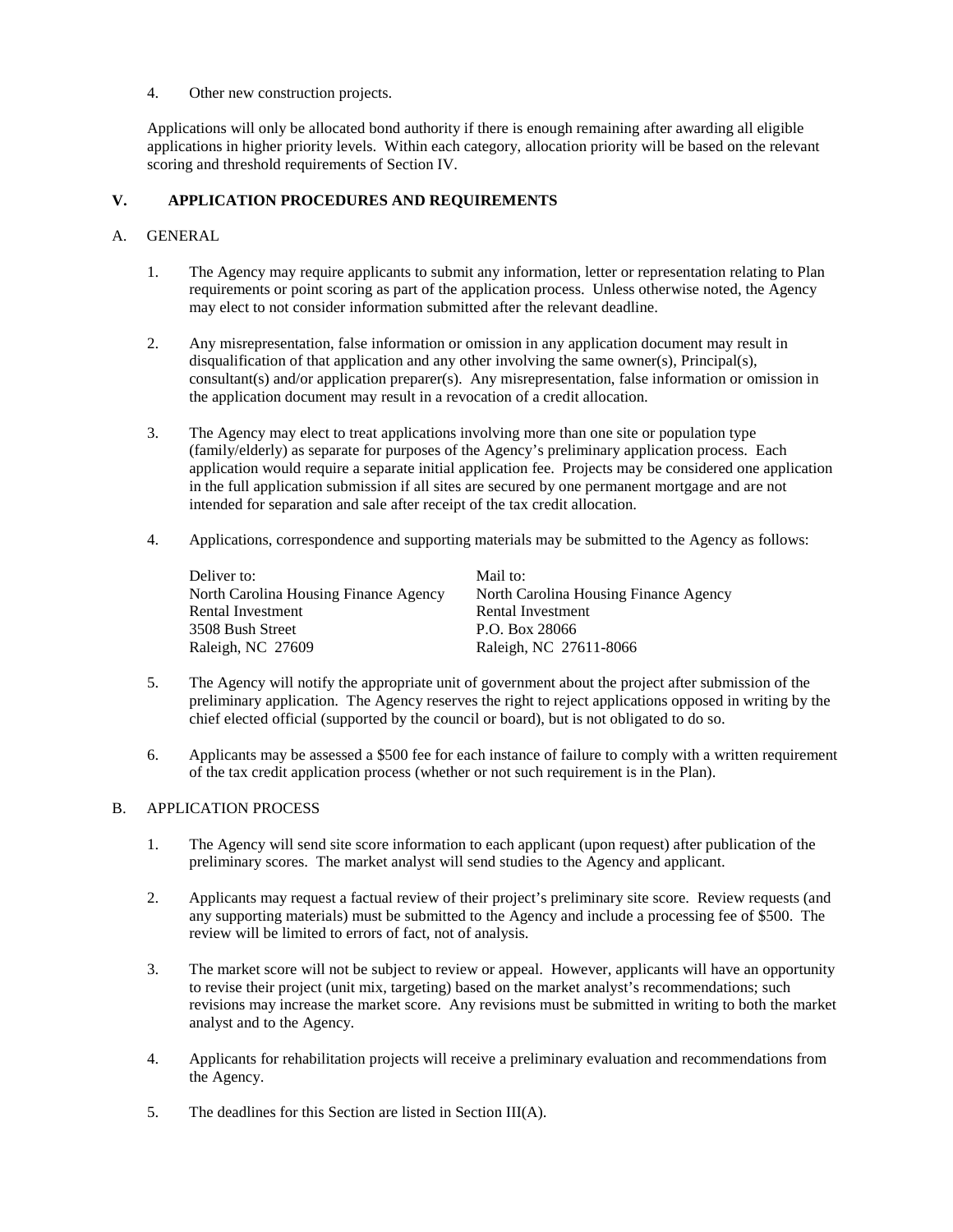4. Other new construction projects.

Applications will only be allocated bond authority if there is enough remaining after awarding all eligible applications in higher priority levels. Within each category, allocation priority will be based on the relevant scoring and threshold requirements of Section IV.

# **V. APPLICATION PROCEDURES AND REQUIREMENTS**

# A. GENERAL

- 1. The Agency may require applicants to submit any information, letter or representation relating to Plan requirements or point scoring as part of the application process. Unless otherwise noted, the Agency may elect to not consider information submitted after the relevant deadline.
- 2. Any misrepresentation, false information or omission in any application document may result in disqualification of that application and any other involving the same owner(s), Principal(s), consultant(s) and/or application preparer(s). Any misrepresentation, false information or omission in the application document may result in a revocation of a credit allocation.
- 3. The Agency may elect to treat applications involving more than one site or population type (family/elderly) as separate for purposes of the Agency's preliminary application process. Each application would require a separate initial application fee. Projects may be considered one application in the full application submission if all sites are secured by one permanent mortgage and are not intended for separation and sale after receipt of the tax credit allocation.
- 4. Applications, correspondence and supporting materials may be submitted to the Agency as follows:

| Deliver to:                           | Mail to:                              |
|---------------------------------------|---------------------------------------|
| North Carolina Housing Finance Agency | North Carolina Housing Finance Agency |
| Rental Investment                     | Rental Investment                     |
| 3508 Bush Street                      | P.O. Box 28066                        |
| Raleigh, NC 27609                     | Raleigh, NC 27611-8066                |

- 5. The Agency will notify the appropriate unit of government about the project after submission of the preliminary application. The Agency reserves the right to reject applications opposed in writing by the chief elected official (supported by the council or board), but is not obligated to do so.
- 6. Applicants may be assessed a \$500 fee for each instance of failure to comply with a written requirement of the tax credit application process (whether or not such requirement is in the Plan).

# B. APPLICATION PROCESS

- 1. The Agency will send site score information to each applicant (upon request) after publication of the preliminary scores. The market analyst will send studies to the Agency and applicant.
- 2. Applicants may request a factual review of their project's preliminary site score. Review requests (and any supporting materials) must be submitted to the Agency and include a processing fee of \$500. The review will be limited to errors of fact, not of analysis.
- 3. The market score will not be subject to review or appeal. However, applicants will have an opportunity to revise their project (unit mix, targeting) based on the market analyst's recommendations; such revisions may increase the market score. Any revisions must be submitted in writing to both the market analyst and to the Agency.
- 4. Applicants for rehabilitation projects will receive a preliminary evaluation and recommendations from the Agency.
- 5. The deadlines for this Section are listed in Section III(A).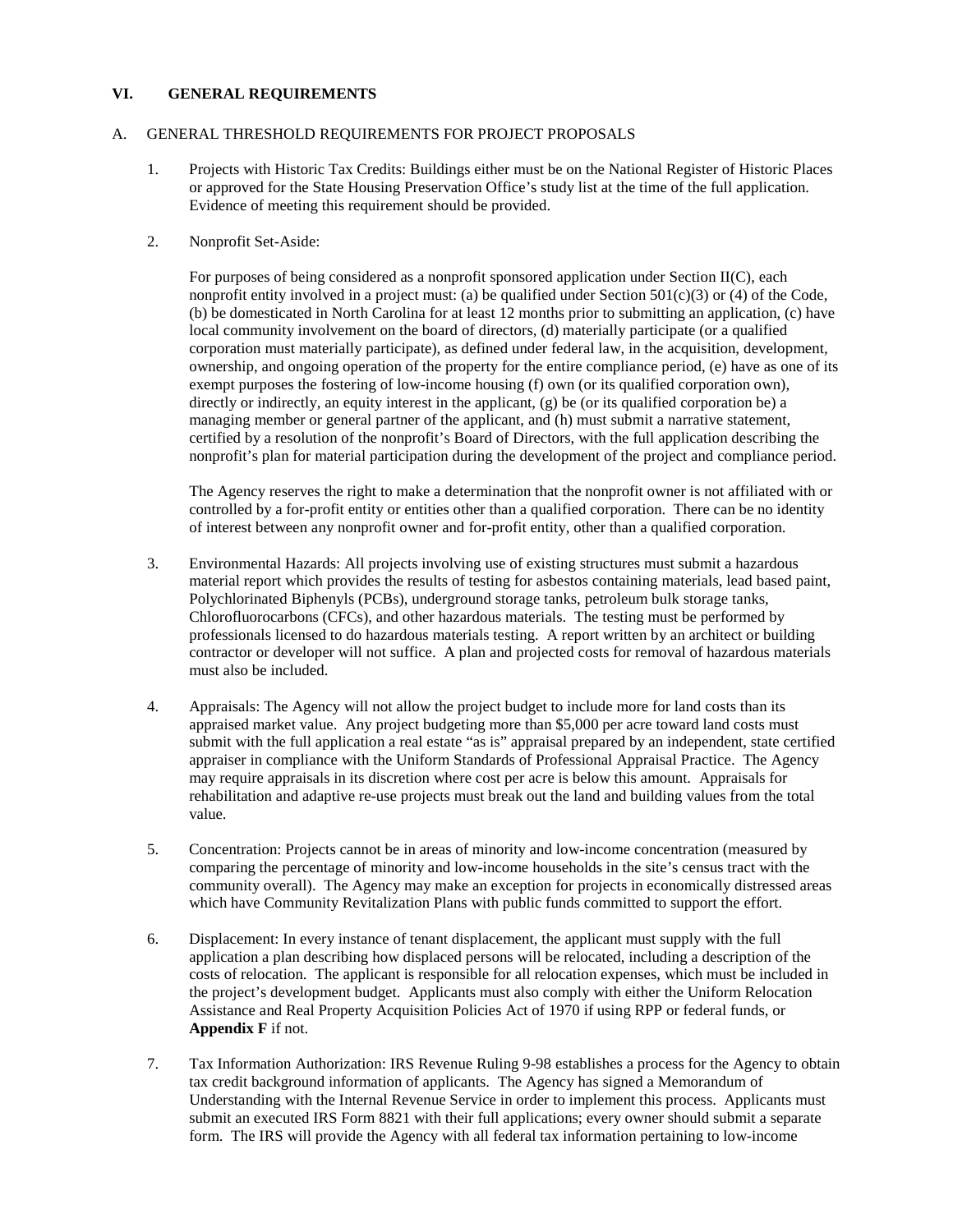# **VI. GENERAL REQUIREMENTS**

### A. GENERAL THRESHOLD REQUIREMENTS FOR PROJECT PROPOSALS

- 1. Projects with Historic Tax Credits: Buildings either must be on the National Register of Historic Places or approved for the State Housing Preservation Office's study list at the time of the full application. Evidence of meeting this requirement should be provided.
- 2. Nonprofit Set-Aside:

For purposes of being considered as a nonprofit sponsored application under Section II(C), each nonprofit entity involved in a project must: (a) be qualified under Section  $501(c)(3)$  or (4) of the Code, (b) be domesticated in North Carolina for at least 12 months prior to submitting an application, (c) have local community involvement on the board of directors, (d) materially participate (or a qualified corporation must materially participate), as defined under federal law, in the acquisition, development, ownership, and ongoing operation of the property for the entire compliance period, (e) have as one of its exempt purposes the fostering of low-income housing (f) own (or its qualified corporation own), directly or indirectly, an equity interest in the applicant, (g) be (or its qualified corporation be) a managing member or general partner of the applicant, and (h) must submit a narrative statement, certified by a resolution of the nonprofit's Board of Directors, with the full application describing the nonprofit's plan for material participation during the development of the project and compliance period.

The Agency reserves the right to make a determination that the nonprofit owner is not affiliated with or controlled by a for-profit entity or entities other than a qualified corporation. There can be no identity of interest between any nonprofit owner and for-profit entity, other than a qualified corporation.

- 3. Environmental Hazards: All projects involving use of existing structures must submit a hazardous material report which provides the results of testing for asbestos containing materials, lead based paint, Polychlorinated Biphenyls (PCBs), underground storage tanks, petroleum bulk storage tanks, Chlorofluorocarbons (CFCs), and other hazardous materials. The testing must be performed by professionals licensed to do hazardous materials testing. A report written by an architect or building contractor or developer will not suffice. A plan and projected costs for removal of hazardous materials must also be included.
- 4. Appraisals: The Agency will not allow the project budget to include more for land costs than its appraised market value. Any project budgeting more than \$5,000 per acre toward land costs must submit with the full application a real estate "as is" appraisal prepared by an independent, state certified appraiser in compliance with the Uniform Standards of Professional Appraisal Practice. The Agency may require appraisals in its discretion where cost per acre is below this amount. Appraisals for rehabilitation and adaptive re-use projects must break out the land and building values from the total value.
- 5. Concentration: Projects cannot be in areas of minority and low-income concentration (measured by comparing the percentage of minority and low-income households in the site's census tract with the community overall). The Agency may make an exception for projects in economically distressed areas which have Community Revitalization Plans with public funds committed to support the effort.
- 6. Displacement: In every instance of tenant displacement, the applicant must supply with the full application a plan describing how displaced persons will be relocated, including a description of the costs of relocation. The applicant is responsible for all relocation expenses, which must be included in the project's development budget. Applicants must also comply with either the Uniform Relocation Assistance and Real Property Acquisition Policies Act of 1970 if using RPP or federal funds, or **Appendix F** if not.
- 7. Tax Information Authorization: IRS Revenue Ruling 9-98 establishes a process for the Agency to obtain tax credit background information of applicants. The Agency has signed a Memorandum of Understanding with the Internal Revenue Service in order to implement this process. Applicants must submit an executed IRS Form 8821 with their full applications; every owner should submit a separate form. The IRS will provide the Agency with all federal tax information pertaining to low-income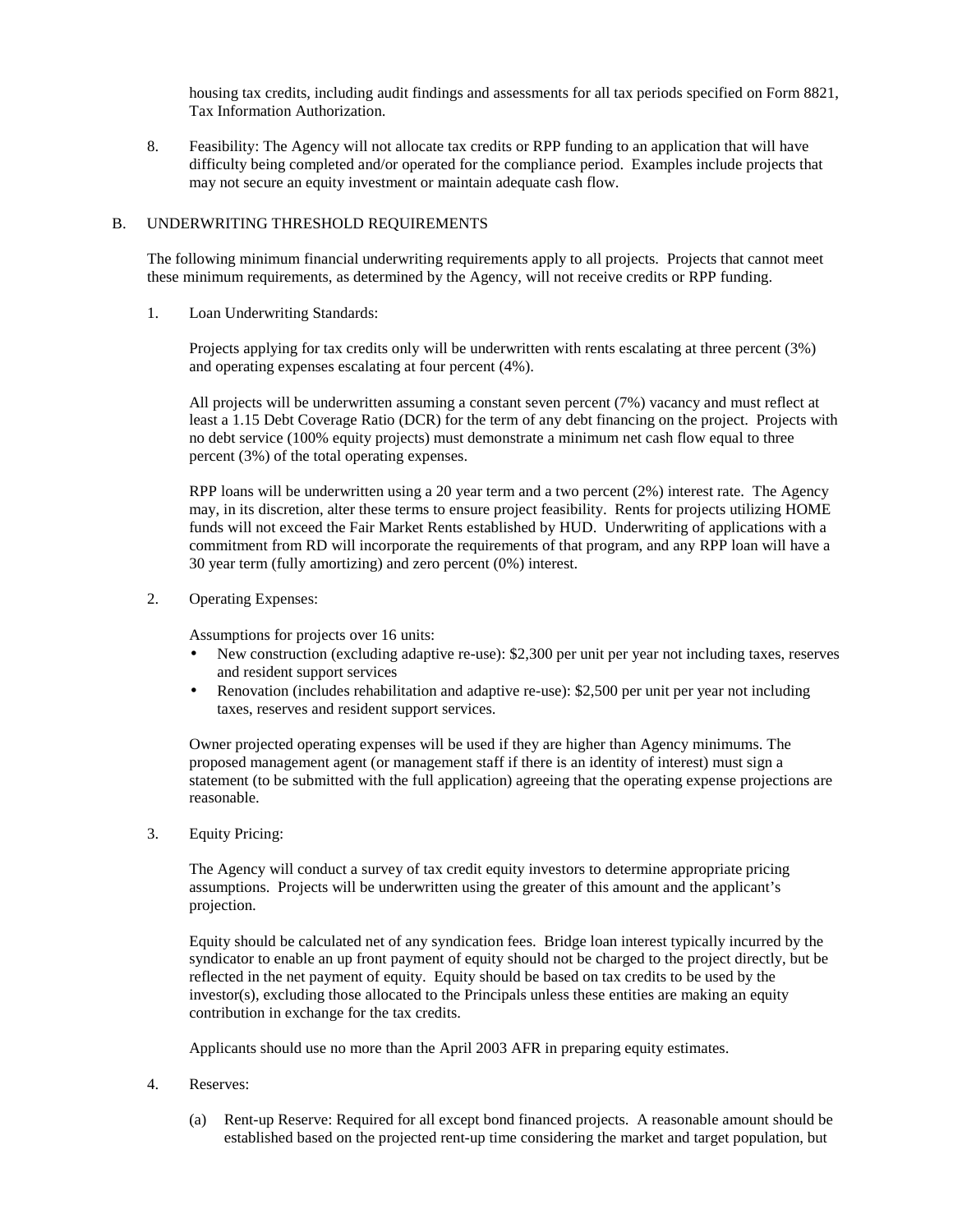housing tax credits, including audit findings and assessments for all tax periods specified on Form 8821, Tax Information Authorization.

8. Feasibility: The Agency will not allocate tax credits or RPP funding to an application that will have difficulty being completed and/or operated for the compliance period. Examples include projects that may not secure an equity investment or maintain adequate cash flow.

### B. UNDERWRITING THRESHOLD REQUIREMENTS

The following minimum financial underwriting requirements apply to all projects. Projects that cannot meet these minimum requirements, as determined by the Agency, will not receive credits or RPP funding.

1. Loan Underwriting Standards:

 Projects applying for tax credits only will be underwritten with rents escalating at three percent (3%) and operating expenses escalating at four percent (4%).

 All projects will be underwritten assuming a constant seven percent (7%) vacancy and must reflect at least a 1.15 Debt Coverage Ratio (DCR) for the term of any debt financing on the project. Projects with no debt service (100% equity projects) must demonstrate a minimum net cash flow equal to three percent (3%) of the total operating expenses.

 RPP loans will be underwritten using a 20 year term and a two percent (2%) interest rate. The Agency may, in its discretion, alter these terms to ensure project feasibility. Rents for projects utilizing HOME funds will not exceed the Fair Market Rents established by HUD. Underwriting of applications with a commitment from RD will incorporate the requirements of that program, and any RPP loan will have a 30 year term (fully amortizing) and zero percent (0%) interest.

2. Operating Expenses:

Assumptions for projects over 16 units:

- New construction (excluding adaptive re-use): \$2,300 per unit per year not including taxes, reserves and resident support services
- Renovation (includes rehabilitation and adaptive re-use): \$2,500 per unit per year not including taxes, reserves and resident support services.

Owner projected operating expenses will be used if they are higher than Agency minimums. The proposed management agent (or management staff if there is an identity of interest) must sign a statement (to be submitted with the full application) agreeing that the operating expense projections are reasonable.

3. Equity Pricing:

 The Agency will conduct a survey of tax credit equity investors to determine appropriate pricing assumptions. Projects will be underwritten using the greater of this amount and the applicant's projection.

 Equity should be calculated net of any syndication fees. Bridge loan interest typically incurred by the syndicator to enable an up front payment of equity should not be charged to the project directly, but be reflected in the net payment of equity. Equity should be based on tax credits to be used by the investor(s), excluding those allocated to the Principals unless these entities are making an equity contribution in exchange for the tax credits.

Applicants should use no more than the April 2003 AFR in preparing equity estimates.

- 4. Reserves:
	- (a) Rent-up Reserve: Required for all except bond financed projects. A reasonable amount should be established based on the projected rent-up time considering the market and target population, but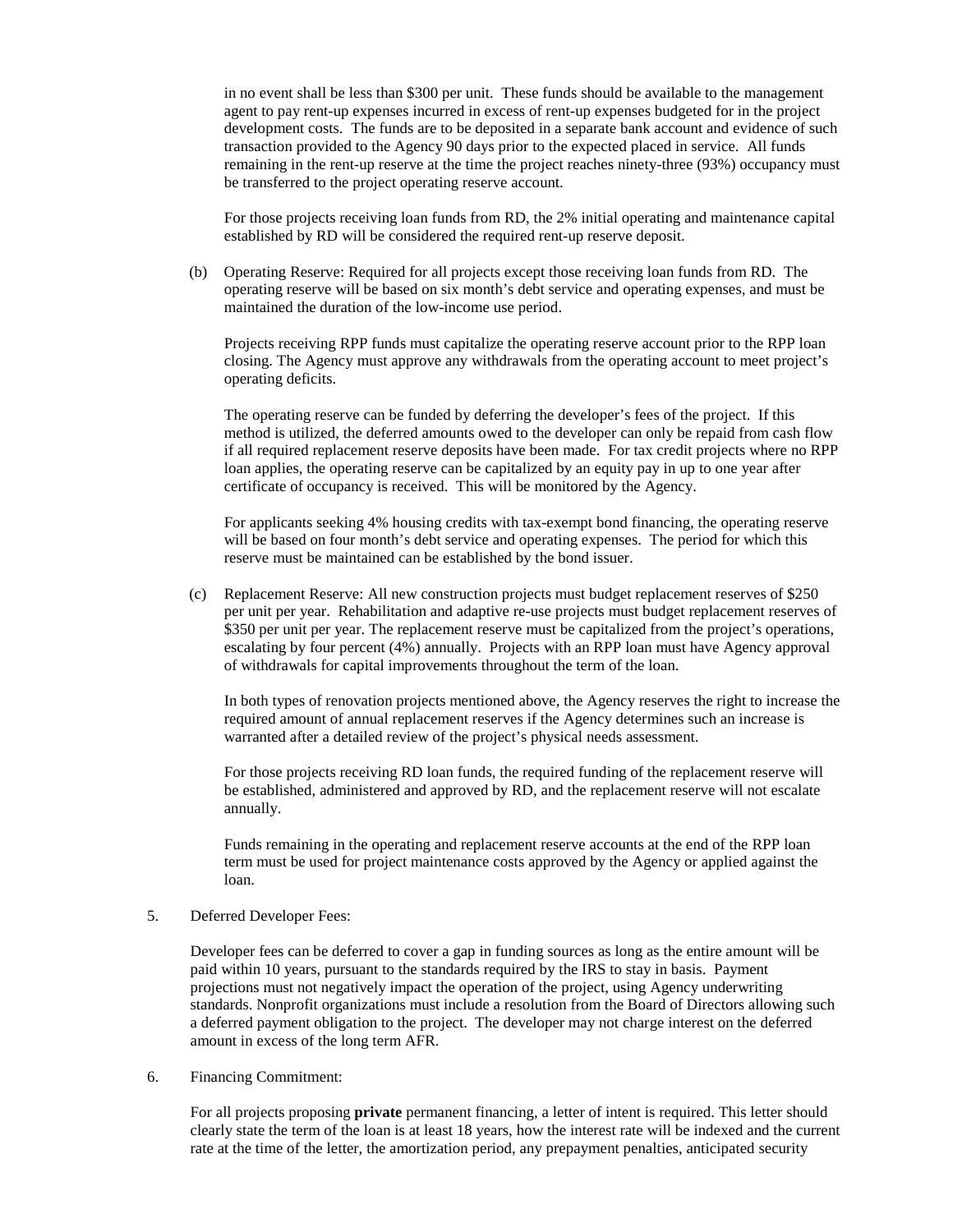in no event shall be less than \$300 per unit. These funds should be available to the management agent to pay rent-up expenses incurred in excess of rent-up expenses budgeted for in the project development costs. The funds are to be deposited in a separate bank account and evidence of such transaction provided to the Agency 90 days prior to the expected placed in service. All funds remaining in the rent-up reserve at the time the project reaches ninety-three (93%) occupancy must be transferred to the project operating reserve account.

For those projects receiving loan funds from RD, the 2% initial operating and maintenance capital established by RD will be considered the required rent-up reserve deposit.

(b) Operating Reserve: Required for all projects except those receiving loan funds from RD. The operating reserve will be based on six month's debt service and operating expenses, and must be maintained the duration of the low-income use period.

Projects receiving RPP funds must capitalize the operating reserve account prior to the RPP loan closing. The Agency must approve any withdrawals from the operating account to meet project's operating deficits.

The operating reserve can be funded by deferring the developer's fees of the project. If this method is utilized, the deferred amounts owed to the developer can only be repaid from cash flow if all required replacement reserve deposits have been made. For tax credit projects where no RPP loan applies, the operating reserve can be capitalized by an equity pay in up to one year after certificate of occupancy is received. This will be monitored by the Agency.

For applicants seeking 4% housing credits with tax-exempt bond financing, the operating reserve will be based on four month's debt service and operating expenses. The period for which this reserve must be maintained can be established by the bond issuer.

(c) Replacement Reserve: All new construction projects must budget replacement reserves of \$250 per unit per year. Rehabilitation and adaptive re-use projects must budget replacement reserves of \$350 per unit per year. The replacement reserve must be capitalized from the project's operations, escalating by four percent (4%) annually. Projects with an RPP loan must have Agency approval of withdrawals for capital improvements throughout the term of the loan.

 In both types of renovation projects mentioned above, the Agency reserves the right to increase the required amount of annual replacement reserves if the Agency determines such an increase is warranted after a detailed review of the project's physical needs assessment.

 For those projects receiving RD loan funds, the required funding of the replacement reserve will be established, administered and approved by RD, and the replacement reserve will not escalate annually.

 Funds remaining in the operating and replacement reserve accounts at the end of the RPP loan term must be used for project maintenance costs approved by the Agency or applied against the loan.

#### 5. Deferred Developer Fees:

 Developer fees can be deferred to cover a gap in funding sources as long as the entire amount will be paid within 10 years, pursuant to the standards required by the IRS to stay in basis. Payment projections must not negatively impact the operation of the project, using Agency underwriting standards. Nonprofit organizations must include a resolution from the Board of Directors allowing such a deferred payment obligation to the project. The developer may not charge interest on the deferred amount in excess of the long term AFR.

6. Financing Commitment:

 For all projects proposing **private** permanent financing, a letter of intent is required. This letter should clearly state the term of the loan is at least 18 years, how the interest rate will be indexed and the current rate at the time of the letter, the amortization period, any prepayment penalties, anticipated security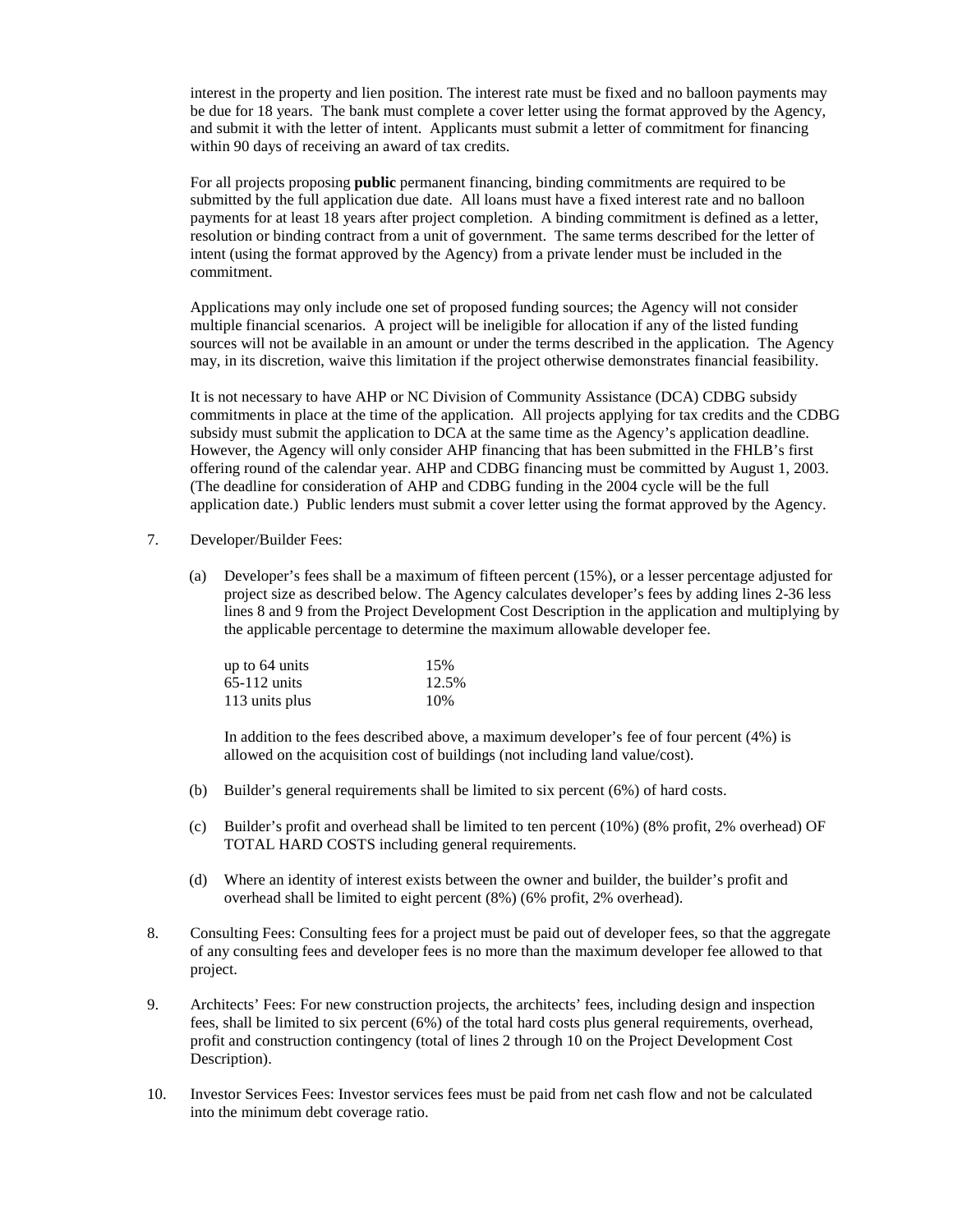interest in the property and lien position. The interest rate must be fixed and no balloon payments may be due for 18 years. The bank must complete a cover letter using the format approved by the Agency, and submit it with the letter of intent. Applicants must submit a letter of commitment for financing within 90 days of receiving an award of tax credits.

 For all projects proposing **public** permanent financing, binding commitments are required to be submitted by the full application due date. All loans must have a fixed interest rate and no balloon payments for at least 18 years after project completion. A binding commitment is defined as a letter, resolution or binding contract from a unit of government. The same terms described for the letter of intent (using the format approved by the Agency) from a private lender must be included in the commitment.

 Applications may only include one set of proposed funding sources; the Agency will not consider multiple financial scenarios. A project will be ineligible for allocation if any of the listed funding sources will not be available in an amount or under the terms described in the application. The Agency may, in its discretion, waive this limitation if the project otherwise demonstrates financial feasibility.

 It is not necessary to have AHP or NC Division of Community Assistance (DCA) CDBG subsidy commitments in place at the time of the application. All projects applying for tax credits and the CDBG subsidy must submit the application to DCA at the same time as the Agency's application deadline. However, the Agency will only consider AHP financing that has been submitted in the FHLB's first offering round of the calendar year. AHP and CDBG financing must be committed by August 1, 2003. (The deadline for consideration of AHP and CDBG funding in the 2004 cycle will be the full application date.) Public lenders must submit a cover letter using the format approved by the Agency.

- 7. Developer/Builder Fees:
	- (a) Developer's fees shall be a maximum of fifteen percent (15%), or a lesser percentage adjusted for project size as described below. The Agency calculates developer's fees by adding lines 2-36 less lines 8 and 9 from the Project Development Cost Description in the application and multiplying by the applicable percentage to determine the maximum allowable developer fee.

| up to $64 \text{ units}$ | 15%   |
|--------------------------|-------|
| $65-112$ units           | 12.5% |
| 113 units plus           | 10%   |

 In addition to the fees described above, a maximum developer's fee of four percent (4%) is allowed on the acquisition cost of buildings (not including land value/cost).

- (b) Builder's general requirements shall be limited to six percent (6%) of hard costs.
- (c) Builder's profit and overhead shall be limited to ten percent (10%) (8% profit, 2% overhead) OF TOTAL HARD COSTS including general requirements.
- (d) Where an identity of interest exists between the owner and builder, the builder's profit and overhead shall be limited to eight percent (8%) (6% profit, 2% overhead).
- 8. Consulting Fees: Consulting fees for a project must be paid out of developer fees, so that the aggregate of any consulting fees and developer fees is no more than the maximum developer fee allowed to that project.
- 9. Architects' Fees: For new construction projects, the architects' fees, including design and inspection fees, shall be limited to six percent (6%) of the total hard costs plus general requirements, overhead, profit and construction contingency (total of lines 2 through 10 on the Project Development Cost Description).
- 10. Investor Services Fees: Investor services fees must be paid from net cash flow and not be calculated into the minimum debt coverage ratio.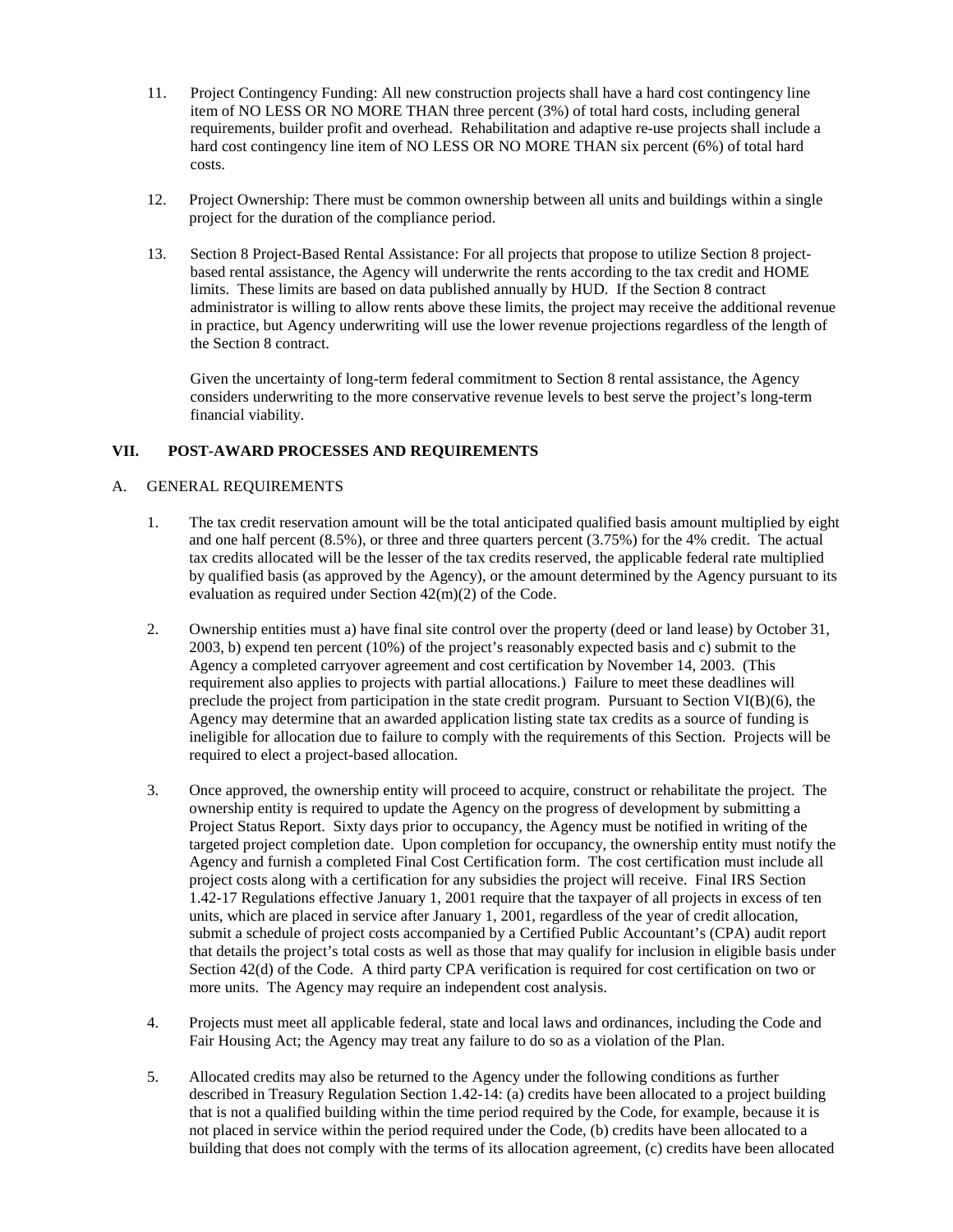- 11. Project Contingency Funding: All new construction projects shall have a hard cost contingency line item of NO LESS OR NO MORE THAN three percent (3%) of total hard costs, including general requirements, builder profit and overhead. Rehabilitation and adaptive re-use projects shall include a hard cost contingency line item of NO LESS OR NO MORE THAN six percent (6%) of total hard costs.
- 12. Project Ownership: There must be common ownership between all units and buildings within a single project for the duration of the compliance period.
- 13. Section 8 Project-Based Rental Assistance: For all projects that propose to utilize Section 8 projectbased rental assistance, the Agency will underwrite the rents according to the tax credit and HOME limits. These limits are based on data published annually by HUD. If the Section 8 contract administrator is willing to allow rents above these limits, the project may receive the additional revenue in practice, but Agency underwriting will use the lower revenue projections regardless of the length of the Section 8 contract.

 Given the uncertainty of long-term federal commitment to Section 8 rental assistance, the Agency considers underwriting to the more conservative revenue levels to best serve the project's long-term financial viability.

# **VII. POST-AWARD PROCESSES AND REQUIREMENTS**

# A. GENERAL REQUIREMENTS

- 1. The tax credit reservation amount will be the total anticipated qualified basis amount multiplied by eight and one half percent (8.5%), or three and three quarters percent (3.75%) for the 4% credit. The actual tax credits allocated will be the lesser of the tax credits reserved, the applicable federal rate multiplied by qualified basis (as approved by the Agency), or the amount determined by the Agency pursuant to its evaluation as required under Section 42(m)(2) of the Code.
- 2. Ownership entities must a) have final site control over the property (deed or land lease) by October 31, 2003, b) expend ten percent (10%) of the project's reasonably expected basis and c) submit to the Agency a completed carryover agreement and cost certification by November 14, 2003. (This requirement also applies to projects with partial allocations.) Failure to meet these deadlines will preclude the project from participation in the state credit program. Pursuant to Section VI(B)(6), the Agency may determine that an awarded application listing state tax credits as a source of funding is ineligible for allocation due to failure to comply with the requirements of this Section. Projects will be required to elect a project-based allocation.
- 3. Once approved, the ownership entity will proceed to acquire, construct or rehabilitate the project. The ownership entity is required to update the Agency on the progress of development by submitting a Project Status Report. Sixty days prior to occupancy, the Agency must be notified in writing of the targeted project completion date. Upon completion for occupancy, the ownership entity must notify the Agency and furnish a completed Final Cost Certification form. The cost certification must include all project costs along with a certification for any subsidies the project will receive. Final IRS Section 1.42-17 Regulations effective January 1, 2001 require that the taxpayer of all projects in excess of ten units, which are placed in service after January 1, 2001, regardless of the year of credit allocation, submit a schedule of project costs accompanied by a Certified Public Accountant's (CPA) audit report that details the project's total costs as well as those that may qualify for inclusion in eligible basis under Section 42(d) of the Code. A third party CPA verification is required for cost certification on two or more units. The Agency may require an independent cost analysis.
- 4. Projects must meet all applicable federal, state and local laws and ordinances, including the Code and Fair Housing Act; the Agency may treat any failure to do so as a violation of the Plan.
- 5. Allocated credits may also be returned to the Agency under the following conditions as further described in Treasury Regulation Section 1.42-14: (a) credits have been allocated to a project building that is not a qualified building within the time period required by the Code, for example, because it is not placed in service within the period required under the Code, (b) credits have been allocated to a building that does not comply with the terms of its allocation agreement, (c) credits have been allocated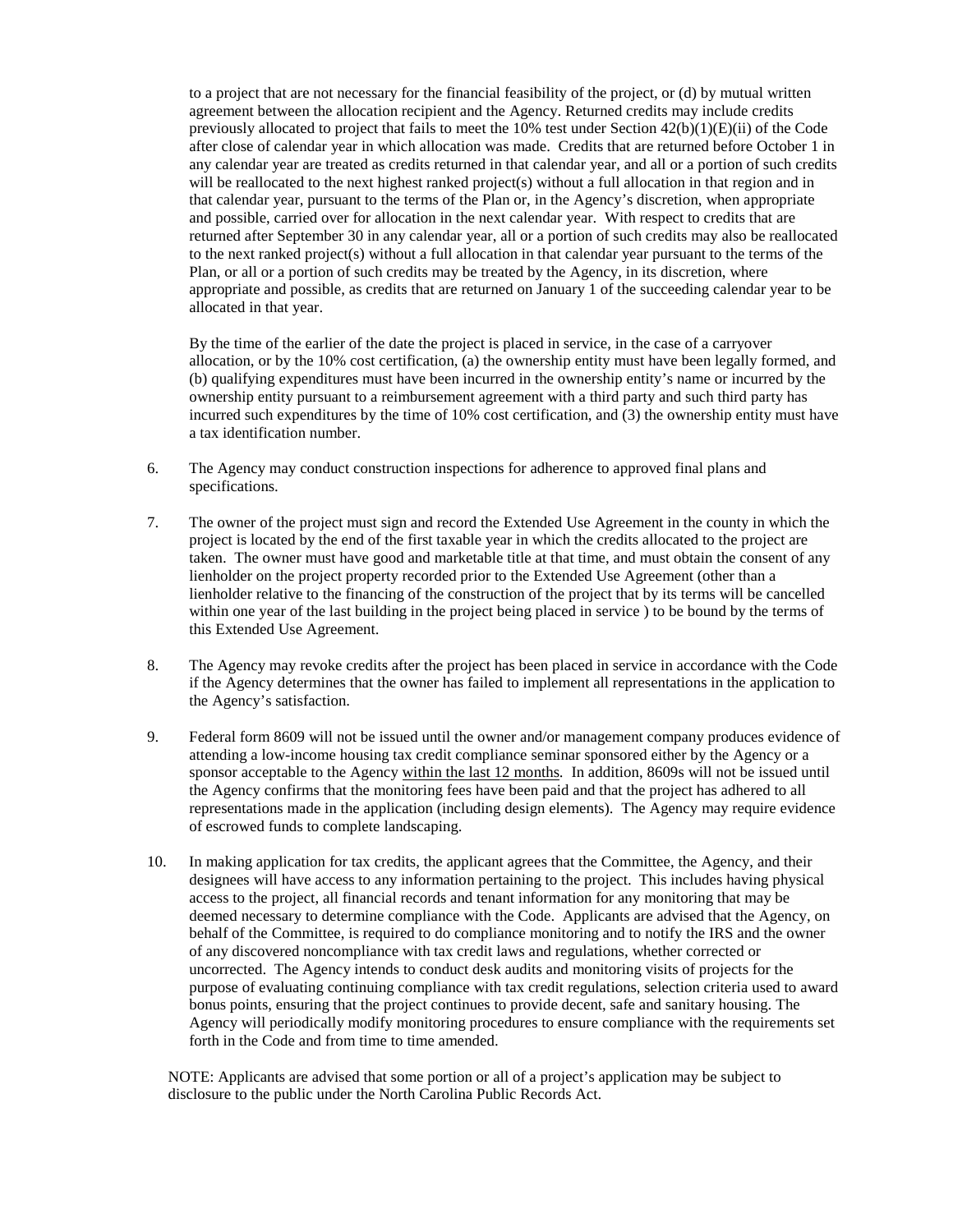to a project that are not necessary for the financial feasibility of the project, or (d) by mutual written agreement between the allocation recipient and the Agency. Returned credits may include credits previously allocated to project that fails to meet the 10% test under Section  $42(b)(1)(E)(ii)$  of the Code after close of calendar year in which allocation was made. Credits that are returned before October 1 in any calendar year are treated as credits returned in that calendar year, and all or a portion of such credits will be reallocated to the next highest ranked project(s) without a full allocation in that region and in that calendar year, pursuant to the terms of the Plan or, in the Agency's discretion, when appropriate and possible, carried over for allocation in the next calendar year. With respect to credits that are returned after September 30 in any calendar year, all or a portion of such credits may also be reallocated to the next ranked project(s) without a full allocation in that calendar year pursuant to the terms of the Plan, or all or a portion of such credits may be treated by the Agency, in its discretion, where appropriate and possible, as credits that are returned on January 1 of the succeeding calendar year to be allocated in that year.

 By the time of the earlier of the date the project is placed in service, in the case of a carryover allocation, or by the 10% cost certification, (a) the ownership entity must have been legally formed, and (b) qualifying expenditures must have been incurred in the ownership entity's name or incurred by the ownership entity pursuant to a reimbursement agreement with a third party and such third party has incurred such expenditures by the time of 10% cost certification, and (3) the ownership entity must have a tax identification number.

- 6. The Agency may conduct construction inspections for adherence to approved final plans and specifications.
- 7. The owner of the project must sign and record the Extended Use Agreement in the county in which the project is located by the end of the first taxable year in which the credits allocated to the project are taken. The owner must have good and marketable title at that time, and must obtain the consent of any lienholder on the project property recorded prior to the Extended Use Agreement (other than a lienholder relative to the financing of the construction of the project that by its terms will be cancelled within one year of the last building in the project being placed in service ) to be bound by the terms of this Extended Use Agreement.
- 8. The Agency may revoke credits after the project has been placed in service in accordance with the Code if the Agency determines that the owner has failed to implement all representations in the application to the Agency's satisfaction.
- 9. Federal form 8609 will not be issued until the owner and/or management company produces evidence of attending a low-income housing tax credit compliance seminar sponsored either by the Agency or a sponsor acceptable to the Agency within the last 12 months. In addition, 8609s will not be issued until the Agency confirms that the monitoring fees have been paid and that the project has adhered to all representations made in the application (including design elements). The Agency may require evidence of escrowed funds to complete landscaping.
- 10. In making application for tax credits, the applicant agrees that the Committee, the Agency, and their designees will have access to any information pertaining to the project. This includes having physical access to the project, all financial records and tenant information for any monitoring that may be deemed necessary to determine compliance with the Code. Applicants are advised that the Agency, on behalf of the Committee, is required to do compliance monitoring and to notify the IRS and the owner of any discovered noncompliance with tax credit laws and regulations, whether corrected or uncorrected. The Agency intends to conduct desk audits and monitoring visits of projects for the purpose of evaluating continuing compliance with tax credit regulations, selection criteria used to award bonus points, ensuring that the project continues to provide decent, safe and sanitary housing. The Agency will periodically modify monitoring procedures to ensure compliance with the requirements set forth in the Code and from time to time amended.

NOTE: Applicants are advised that some portion or all of a project's application may be subject to disclosure to the public under the North Carolina Public Records Act.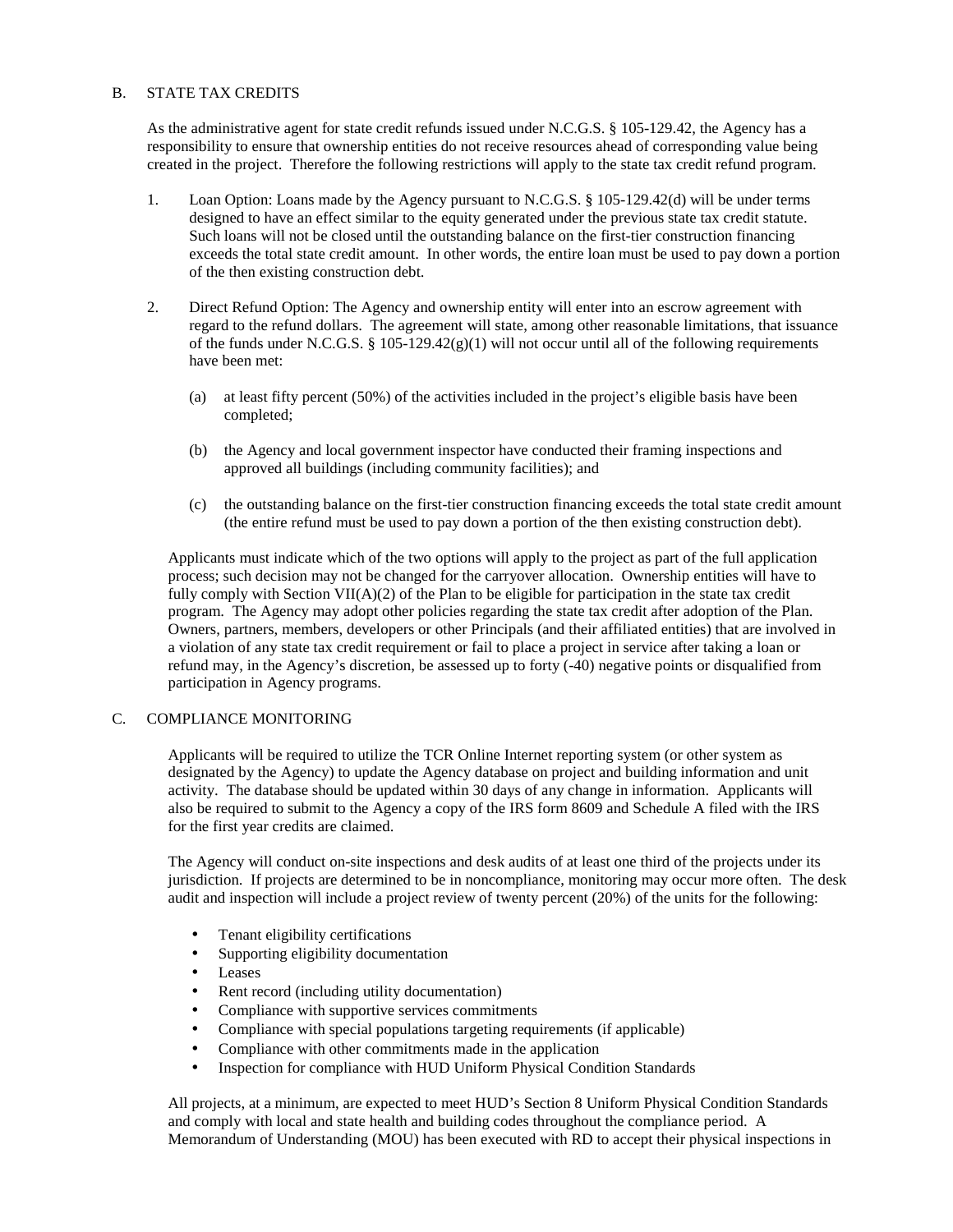# B. STATE TAX CREDITS

As the administrative agent for state credit refunds issued under N.C.G.S. § 105-129.42, the Agency has a responsibility to ensure that ownership entities do not receive resources ahead of corresponding value being created in the project. Therefore the following restrictions will apply to the state tax credit refund program.

- 1. Loan Option: Loans made by the Agency pursuant to N.C.G.S. § 105-129.42(d) will be under terms designed to have an effect similar to the equity generated under the previous state tax credit statute. Such loans will not be closed until the outstanding balance on the first-tier construction financing exceeds the total state credit amount. In other words, the entire loan must be used to pay down a portion of the then existing construction debt.
- 2. Direct Refund Option: The Agency and ownership entity will enter into an escrow agreement with regard to the refund dollars. The agreement will state, among other reasonable limitations, that issuance of the funds under N.C.G.S. § 105-129.42(g)(1) will not occur until all of the following requirements have been met:
	- (a) at least fifty percent (50%) of the activities included in the project's eligible basis have been completed;
	- (b) the Agency and local government inspector have conducted their framing inspections and approved all buildings (including community facilities); and
	- (c) the outstanding balance on the first-tier construction financing exceeds the total state credit amount (the entire refund must be used to pay down a portion of the then existing construction debt).

Applicants must indicate which of the two options will apply to the project as part of the full application process; such decision may not be changed for the carryover allocation. Ownership entities will have to fully comply with Section  $VII(A)(2)$  of the Plan to be eligible for participation in the state tax credit program. The Agency may adopt other policies regarding the state tax credit after adoption of the Plan. Owners, partners, members, developers or other Principals (and their affiliated entities) that are involved in a violation of any state tax credit requirement or fail to place a project in service after taking a loan or refund may, in the Agency's discretion, be assessed up to forty (-40) negative points or disqualified from participation in Agency programs.

# C. COMPLIANCE MONITORING

Applicants will be required to utilize the TCR Online Internet reporting system (or other system as designated by the Agency) to update the Agency database on project and building information and unit activity. The database should be updated within 30 days of any change in information. Applicants will also be required to submit to the Agency a copy of the IRS form 8609 and Schedule A filed with the IRS for the first year credits are claimed.

The Agency will conduct on-site inspections and desk audits of at least one third of the projects under its jurisdiction. If projects are determined to be in noncompliance, monitoring may occur more often. The desk audit and inspection will include a project review of twenty percent (20%) of the units for the following:

- Tenant eligibility certifications
- Supporting eligibility documentation
- Leases
- Rent record (including utility documentation)
- Compliance with supportive services commitments
- Compliance with special populations targeting requirements (if applicable)
- Compliance with other commitments made in the application
- Inspection for compliance with HUD Uniform Physical Condition Standards

All projects, at a minimum, are expected to meet HUD's Section 8 Uniform Physical Condition Standards and comply with local and state health and building codes throughout the compliance period. A Memorandum of Understanding (MOU) has been executed with RD to accept their physical inspections in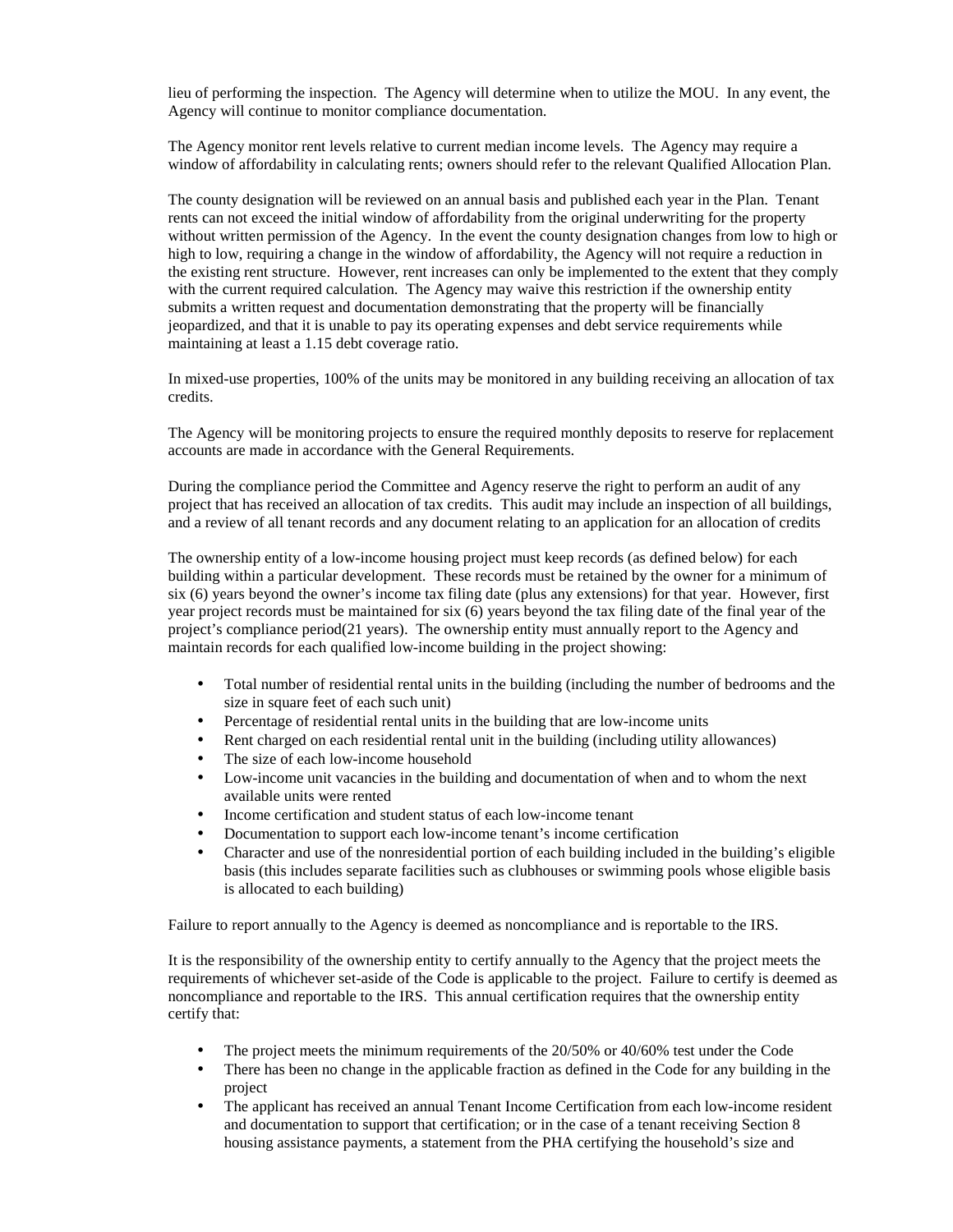lieu of performing the inspection. The Agency will determine when to utilize the MOU. In any event, the Agency will continue to monitor compliance documentation.

The Agency monitor rent levels relative to current median income levels. The Agency may require a window of affordability in calculating rents; owners should refer to the relevant Qualified Allocation Plan.

The county designation will be reviewed on an annual basis and published each year in the Plan. Tenant rents can not exceed the initial window of affordability from the original underwriting for the property without written permission of the Agency. In the event the county designation changes from low to high or high to low, requiring a change in the window of affordability, the Agency will not require a reduction in the existing rent structure. However, rent increases can only be implemented to the extent that they comply with the current required calculation. The Agency may waive this restriction if the ownership entity submits a written request and documentation demonstrating that the property will be financially jeopardized, and that it is unable to pay its operating expenses and debt service requirements while maintaining at least a 1.15 debt coverage ratio.

In mixed-use properties, 100% of the units may be monitored in any building receiving an allocation of tax credits.

The Agency will be monitoring projects to ensure the required monthly deposits to reserve for replacement accounts are made in accordance with the General Requirements.

During the compliance period the Committee and Agency reserve the right to perform an audit of any project that has received an allocation of tax credits. This audit may include an inspection of all buildings, and a review of all tenant records and any document relating to an application for an allocation of credits

The ownership entity of a low-income housing project must keep records (as defined below) for each building within a particular development. These records must be retained by the owner for a minimum of six (6) years beyond the owner's income tax filing date (plus any extensions) for that year. However, first year project records must be maintained for six (6) years beyond the tax filing date of the final year of the project's compliance period(21 years). The ownership entity must annually report to the Agency and maintain records for each qualified low-income building in the project showing:

- Total number of residential rental units in the building (including the number of bedrooms and the size in square feet of each such unit)
- Percentage of residential rental units in the building that are low-income units
- Rent charged on each residential rental unit in the building (including utility allowances)
- The size of each low-income household
- Low-income unit vacancies in the building and documentation of when and to whom the next available units were rented
- Income certification and student status of each low-income tenant
- Documentation to support each low-income tenant's income certification
- Character and use of the nonresidential portion of each building included in the building's eligible basis (this includes separate facilities such as clubhouses or swimming pools whose eligible basis is allocated to each building)

Failure to report annually to the Agency is deemed as noncompliance and is reportable to the IRS.

It is the responsibility of the ownership entity to certify annually to the Agency that the project meets the requirements of whichever set-aside of the Code is applicable to the project. Failure to certify is deemed as noncompliance and reportable to the IRS. This annual certification requires that the ownership entity certify that:

- The project meets the minimum requirements of the 20/50% or 40/60% test under the Code
- There has been no change in the applicable fraction as defined in the Code for any building in the project
- The applicant has received an annual Tenant Income Certification from each low-income resident and documentation to support that certification; or in the case of a tenant receiving Section 8 housing assistance payments, a statement from the PHA certifying the household's size and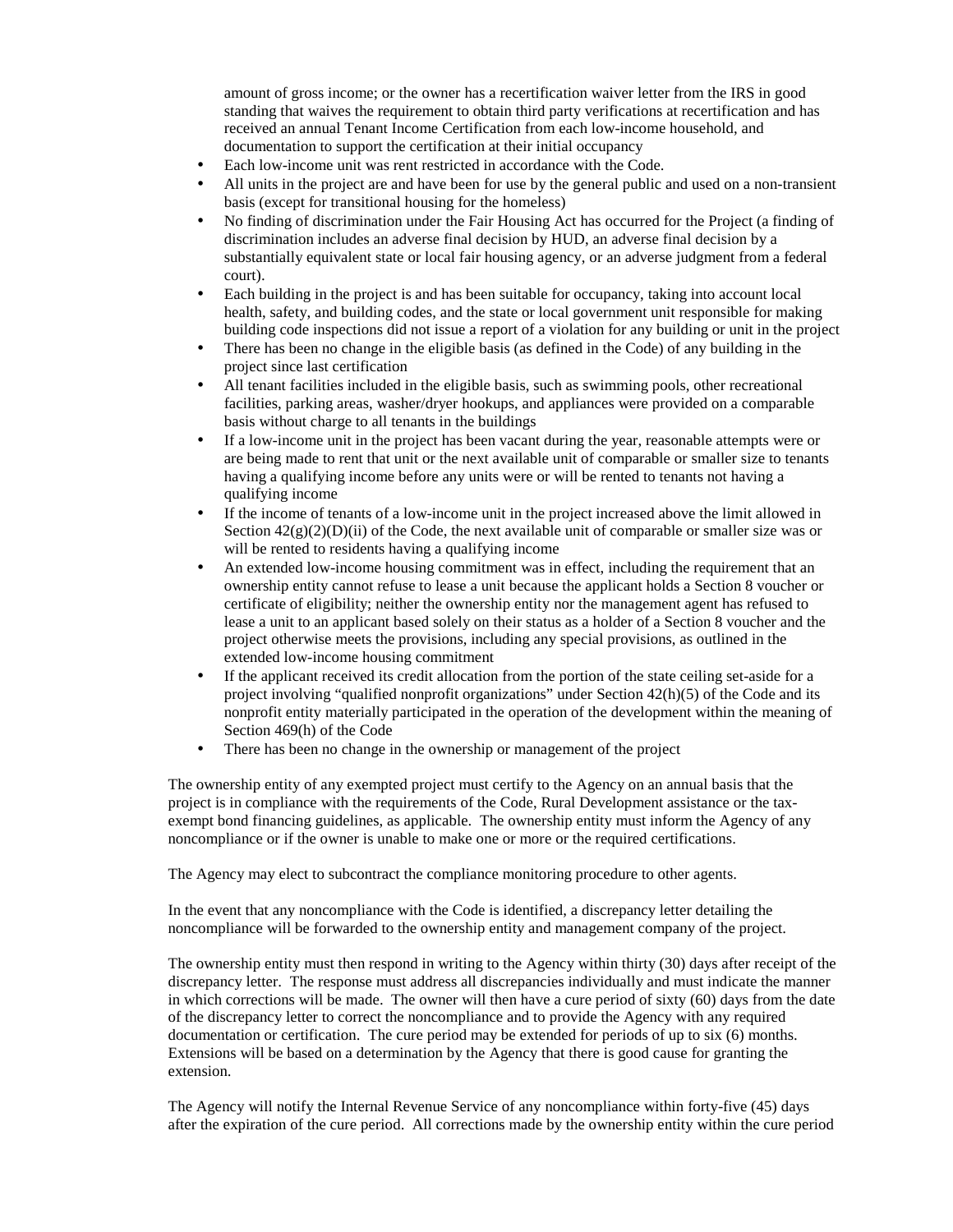amount of gross income; or the owner has a recertification waiver letter from the IRS in good standing that waives the requirement to obtain third party verifications at recertification and has received an annual Tenant Income Certification from each low-income household, and documentation to support the certification at their initial occupancy

- Each low-income unit was rent restricted in accordance with the Code.
- All units in the project are and have been for use by the general public and used on a non-transient basis (except for transitional housing for the homeless)
- No finding of discrimination under the Fair Housing Act has occurred for the Project (a finding of discrimination includes an adverse final decision by HUD, an adverse final decision by a substantially equivalent state or local fair housing agency, or an adverse judgment from a federal court).
- Each building in the project is and has been suitable for occupancy, taking into account local health, safety, and building codes, and the state or local government unit responsible for making building code inspections did not issue a report of a violation for any building or unit in the project
- There has been no change in the eligible basis (as defined in the Code) of any building in the project since last certification
- All tenant facilities included in the eligible basis, such as swimming pools, other recreational facilities, parking areas, washer/dryer hookups, and appliances were provided on a comparable basis without charge to all tenants in the buildings
- If a low-income unit in the project has been vacant during the year, reasonable attempts were or are being made to rent that unit or the next available unit of comparable or smaller size to tenants having a qualifying income before any units were or will be rented to tenants not having a qualifying income
- If the income of tenants of a low-income unit in the project increased above the limit allowed in Section  $42(g)(2)(D)(ii)$  of the Code, the next available unit of comparable or smaller size was or will be rented to residents having a qualifying income
- An extended low-income housing commitment was in effect, including the requirement that an ownership entity cannot refuse to lease a unit because the applicant holds a Section 8 voucher or certificate of eligibility; neither the ownership entity nor the management agent has refused to lease a unit to an applicant based solely on their status as a holder of a Section 8 voucher and the project otherwise meets the provisions, including any special provisions, as outlined in the extended low-income housing commitment
- If the applicant received its credit allocation from the portion of the state ceiling set-aside for a project involving "qualified nonprofit organizations" under Section 42(h)(5) of the Code and its nonprofit entity materially participated in the operation of the development within the meaning of Section 469(h) of the Code
- There has been no change in the ownership or management of the project

The ownership entity of any exempted project must certify to the Agency on an annual basis that the project is in compliance with the requirements of the Code, Rural Development assistance or the taxexempt bond financing guidelines, as applicable. The ownership entity must inform the Agency of any noncompliance or if the owner is unable to make one or more or the required certifications.

The Agency may elect to subcontract the compliance monitoring procedure to other agents.

In the event that any noncompliance with the Code is identified, a discrepancy letter detailing the noncompliance will be forwarded to the ownership entity and management company of the project.

The ownership entity must then respond in writing to the Agency within thirty (30) days after receipt of the discrepancy letter. The response must address all discrepancies individually and must indicate the manner in which corrections will be made. The owner will then have a cure period of sixty (60) days from the date of the discrepancy letter to correct the noncompliance and to provide the Agency with any required documentation or certification. The cure period may be extended for periods of up to six (6) months. Extensions will be based on a determination by the Agency that there is good cause for granting the extension.

The Agency will notify the Internal Revenue Service of any noncompliance within forty-five (45) days after the expiration of the cure period. All corrections made by the ownership entity within the cure period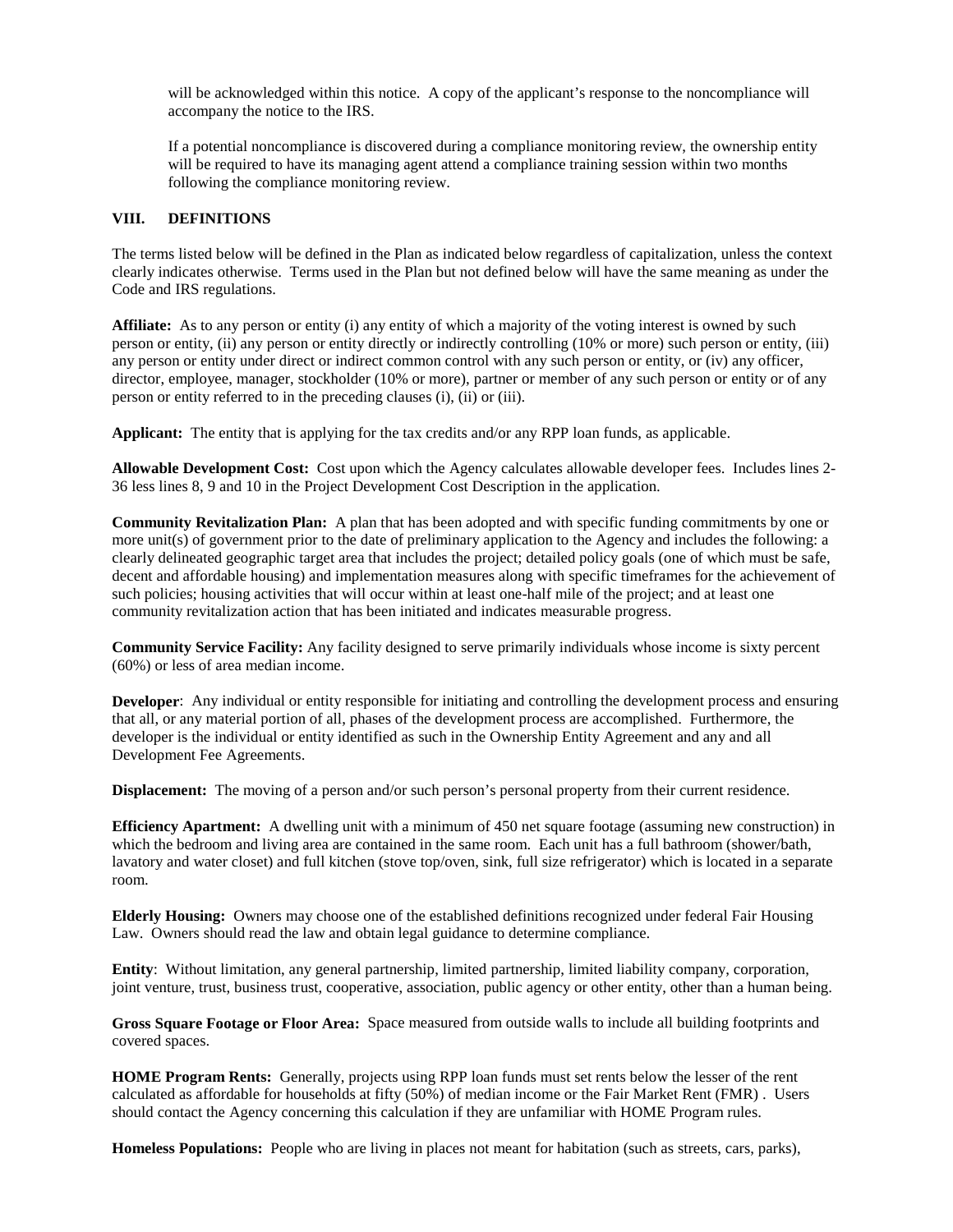will be acknowledged within this notice. A copy of the applicant's response to the noncompliance will accompany the notice to the IRS.

If a potential noncompliance is discovered during a compliance monitoring review, the ownership entity will be required to have its managing agent attend a compliance training session within two months following the compliance monitoring review.

#### **VIII. DEFINITIONS**

The terms listed below will be defined in the Plan as indicated below regardless of capitalization, unless the context clearly indicates otherwise. Terms used in the Plan but not defined below will have the same meaning as under the Code and IRS regulations.

**Affiliate:** As to any person or entity (i) any entity of which a majority of the voting interest is owned by such person or entity, (ii) any person or entity directly or indirectly controlling (10% or more) such person or entity, (iii) any person or entity under direct or indirect common control with any such person or entity, or (iv) any officer, director, employee, manager, stockholder (10% or more), partner or member of any such person or entity or of any person or entity referred to in the preceding clauses (i), (ii) or (iii).

**Applicant:** The entity that is applying for the tax credits and/or any RPP loan funds, as applicable.

**Allowable Development Cost:** Cost upon which the Agency calculates allowable developer fees. Includes lines 2- 36 less lines 8, 9 and 10 in the Project Development Cost Description in the application.

**Community Revitalization Plan:** A plan that has been adopted and with specific funding commitments by one or more unit(s) of government prior to the date of preliminary application to the Agency and includes the following: a clearly delineated geographic target area that includes the project; detailed policy goals (one of which must be safe, decent and affordable housing) and implementation measures along with specific timeframes for the achievement of such policies; housing activities that will occur within at least one-half mile of the project; and at least one community revitalization action that has been initiated and indicates measurable progress.

**Community Service Facility:** Any facility designed to serve primarily individuals whose income is sixty percent (60%) or less of area median income.

**Developer**: Any individual or entity responsible for initiating and controlling the development process and ensuring that all, or any material portion of all, phases of the development process are accomplished. Furthermore, the developer is the individual or entity identified as such in the Ownership Entity Agreement and any and all Development Fee Agreements.

**Displacement:** The moving of a person and/or such person's personal property from their current residence.

**Efficiency Apartment:** A dwelling unit with a minimum of 450 net square footage (assuming new construction) in which the bedroom and living area are contained in the same room. Each unit has a full bathroom (shower/bath, lavatory and water closet) and full kitchen (stove top/oven, sink, full size refrigerator) which is located in a separate room.

**Elderly Housing:** Owners may choose one of the established definitions recognized under federal Fair Housing Law. Owners should read the law and obtain legal guidance to determine compliance.

**Entity**: Without limitation, any general partnership, limited partnership, limited liability company, corporation, joint venture, trust, business trust, cooperative, association, public agency or other entity, other than a human being.

**Gross Square Footage or Floor Area:** Space measured from outside walls to include all building footprints and covered spaces.

**HOME Program Rents:** Generally, projects using RPP loan funds must set rents below the lesser of the rent calculated as affordable for households at fifty (50%) of median income or the Fair Market Rent (FMR) . Users should contact the Agency concerning this calculation if they are unfamiliar with HOME Program rules.

**Homeless Populations:** People who are living in places not meant for habitation (such as streets, cars, parks),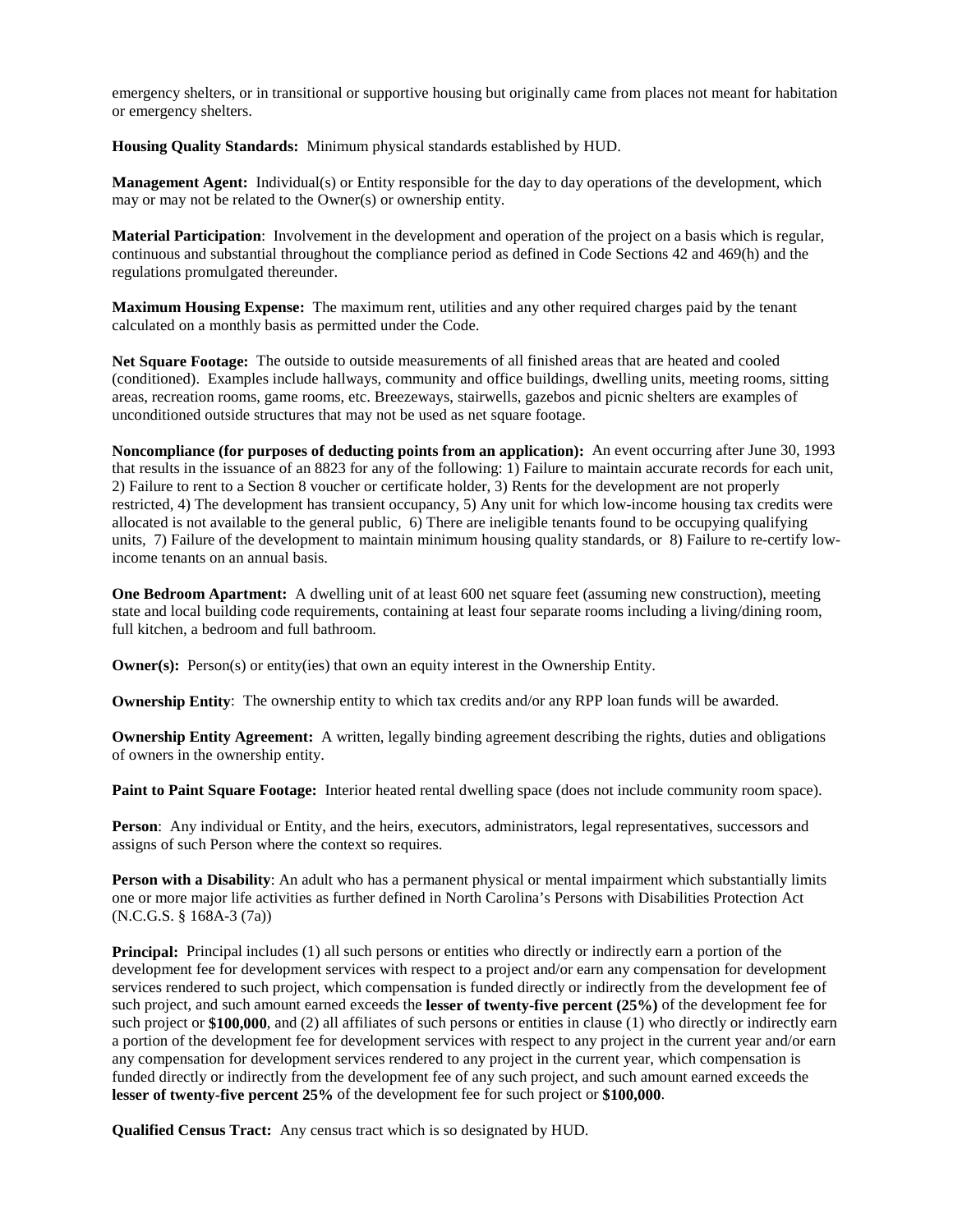emergency shelters, or in transitional or supportive housing but originally came from places not meant for habitation or emergency shelters.

**Housing Quality Standards:** Minimum physical standards established by HUD.

**Management Agent:** Individual(s) or Entity responsible for the day to day operations of the development, which may or may not be related to the Owner(s) or ownership entity.

**Material Participation**: Involvement in the development and operation of the project on a basis which is regular, continuous and substantial throughout the compliance period as defined in Code Sections 42 and 469(h) and the regulations promulgated thereunder.

**Maximum Housing Expense:** The maximum rent, utilities and any other required charges paid by the tenant calculated on a monthly basis as permitted under the Code.

**Net Square Footage:** The outside to outside measurements of all finished areas that are heated and cooled (conditioned). Examples include hallways, community and office buildings, dwelling units, meeting rooms, sitting areas, recreation rooms, game rooms, etc. Breezeways, stairwells, gazebos and picnic shelters are examples of unconditioned outside structures that may not be used as net square footage.

**Noncompliance (for purposes of deducting points from an application):** An event occurring after June 30, 1993 that results in the issuance of an 8823 for any of the following: 1) Failure to maintain accurate records for each unit, 2) Failure to rent to a Section 8 voucher or certificate holder, 3) Rents for the development are not properly restricted, 4) The development has transient occupancy, 5) Any unit for which low-income housing tax credits were allocated is not available to the general public, 6) There are ineligible tenants found to be occupying qualifying units, 7) Failure of the development to maintain minimum housing quality standards, or 8) Failure to re-certify lowincome tenants on an annual basis.

**One Bedroom Apartment:** A dwelling unit of at least 600 net square feet (assuming new construction), meeting state and local building code requirements, containing at least four separate rooms including a living/dining room, full kitchen, a bedroom and full bathroom.

**Owner(s):** Person(s) or entity(ies) that own an equity interest in the Ownership Entity.

**Ownership Entity**: The ownership entity to which tax credits and/or any RPP loan funds will be awarded.

**Ownership Entity Agreement:** A written, legally binding agreement describing the rights, duties and obligations of owners in the ownership entity.

**Paint to Paint Square Footage:** Interior heated rental dwelling space (does not include community room space).

**Person**: Any individual or Entity, and the heirs, executors, administrators, legal representatives, successors and assigns of such Person where the context so requires.

**Person with a Disability**: An adult who has a permanent physical or mental impairment which substantially limits one or more major life activities as further defined in North Carolina's Persons with Disabilities Protection Act (N.C.G.S. § 168A-3 (7a))

**Principal:** Principal includes (1) all such persons or entities who directly or indirectly earn a portion of the development fee for development services with respect to a project and/or earn any compensation for development services rendered to such project, which compensation is funded directly or indirectly from the development fee of such project, and such amount earned exceeds the **lesser of twenty-five percent (25%)** of the development fee for such project or **\$100,000**, and (2) all affiliates of such persons or entities in clause (1) who directly or indirectly earn a portion of the development fee for development services with respect to any project in the current year and/or earn any compensation for development services rendered to any project in the current year, which compensation is funded directly or indirectly from the development fee of any such project, and such amount earned exceeds the **lesser of twenty-five percent 25%** of the development fee for such project or **\$100,000**.

**Qualified Census Tract:** Any census tract which is so designated by HUD.